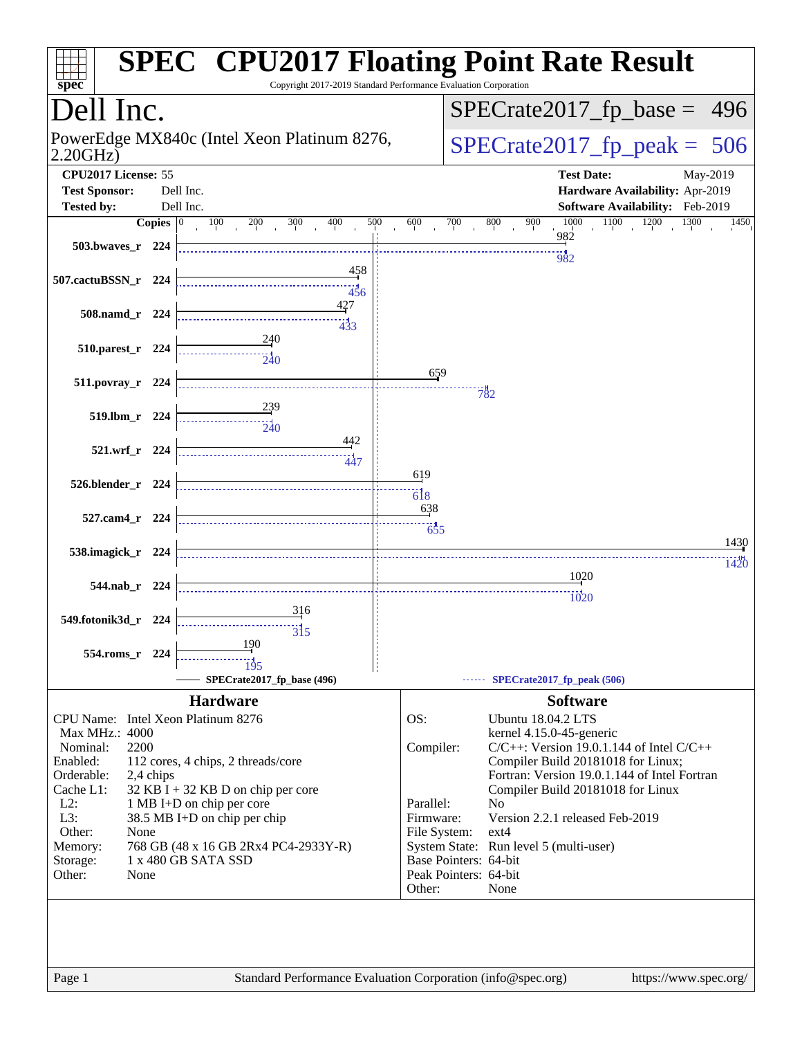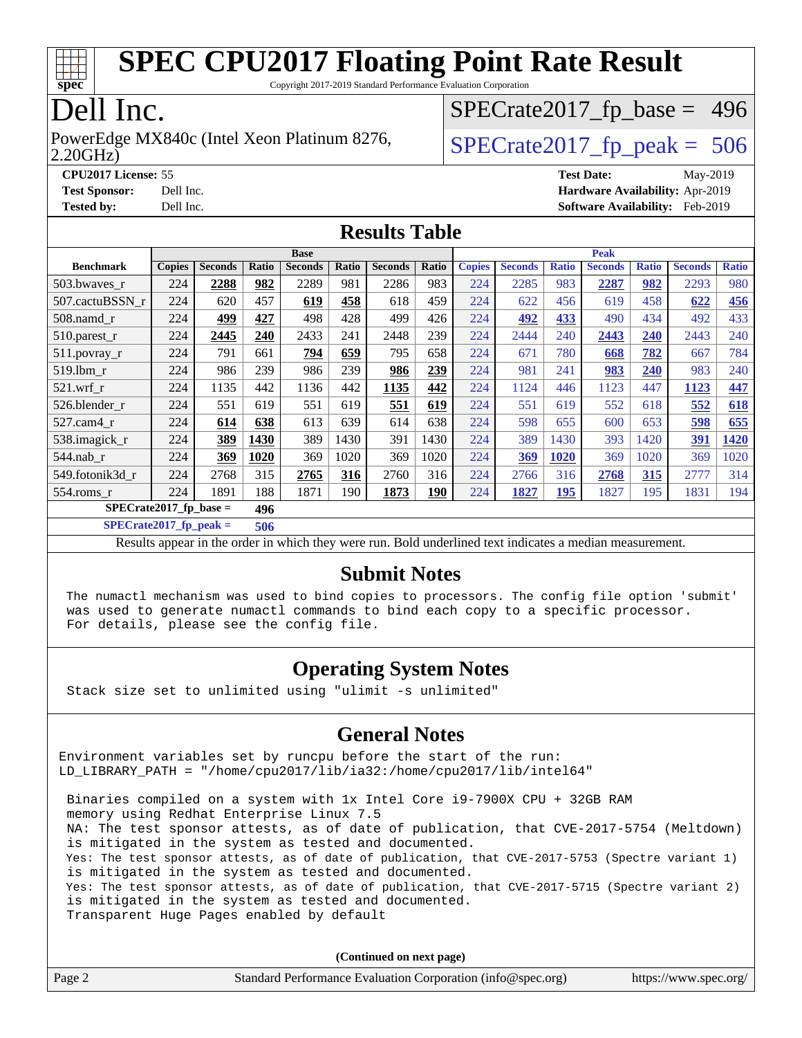

Copyright 2017-2019 Standard Performance Evaluation Corporation

### Dell Inc.

#### 2.20GHz) PowerEdge MX840c (Intel Xeon Platinum 8276,  $\vert$  [SPECrate2017\\_fp\\_peak =](http://www.spec.org/auto/cpu2017/Docs/result-fields.html#SPECrate2017fppeak) 506

[SPECrate2017\\_fp\\_base =](http://www.spec.org/auto/cpu2017/Docs/result-fields.html#SPECrate2017fpbase) 496

**[CPU2017 License:](http://www.spec.org/auto/cpu2017/Docs/result-fields.html#CPU2017License)** 55 **[Test Date:](http://www.spec.org/auto/cpu2017/Docs/result-fields.html#TestDate)** May-2019 **[Test Sponsor:](http://www.spec.org/auto/cpu2017/Docs/result-fields.html#TestSponsor)** Dell Inc. **[Hardware Availability:](http://www.spec.org/auto/cpu2017/Docs/result-fields.html#HardwareAvailability)** Apr-2019 **[Tested by:](http://www.spec.org/auto/cpu2017/Docs/result-fields.html#Testedby)** Dell Inc. **[Software Availability:](http://www.spec.org/auto/cpu2017/Docs/result-fields.html#SoftwareAvailability)** Feb-2019

#### **[Results Table](http://www.spec.org/auto/cpu2017/Docs/result-fields.html#ResultsTable)**

|                  | <b>Base</b>                     |                |       |                | <b>Peak</b> |                |             |               |                |              |                |              |                |              |
|------------------|---------------------------------|----------------|-------|----------------|-------------|----------------|-------------|---------------|----------------|--------------|----------------|--------------|----------------|--------------|
| <b>Benchmark</b> | <b>Copies</b>                   | <b>Seconds</b> | Ratio | <b>Seconds</b> | Ratio       | <b>Seconds</b> | Ratio       | <b>Copies</b> | <b>Seconds</b> | <b>Ratio</b> | <b>Seconds</b> | <b>Ratio</b> | <b>Seconds</b> | <b>Ratio</b> |
| 503.bwaves_r     | 224                             | 2288           | 982   | 2289           | 981         | 2286           | 983         | 224           | 2285           | 983          | 2287           | 982          | 2293           | 980          |
| 507.cactuBSSN r  | 224                             | 620            | 457   | 619            | 458         | 618            | 459         | 224           | 622            | 456          | 619            | 458          | 622            | 456          |
| $508$ .namd $r$  | 224                             | 499            | 427   | 498            | 428         | 499            | 426         | 224           | 492            | 433          | 490            | 434          | 492            | 433          |
| 510.parest_r     | 224                             | 2445           | 240   | 2433           | 241         | 2448           | 239         | 224           | 2444           | 240          | 2443           | 240          | 2443           | 240          |
| 511.povray_r     | 224                             | 791            | 661   | 794            | 659         | 795            | 658         | 224           | 671            | 780          | 668            | 782          | 667            | 784          |
| 519.1bm r        | 224                             | 986            | 239   | 986            | 239         | 986            | 239         | 224           | 981            | 241          | 983            | 240          | 983            | 240          |
| $521$ .wrf r     | 224                             | 1135           | 442   | 1136           | 442         | 1135           | 442         | 224           | 1124           | 446          | 1123           | 447          | 1123           | 447          |
| 526.blender_r    | 224                             | 551            | 619   | 551            | 619         | 551            | 619         | 224           | 551            | 619          | 552            | 618          | 552            | 618          |
| $527$ .cam $4$ r | 224                             | 614            | 638   | 613            | 639         | 614            | 638         | 224           | 598            | 655          | 600            | 653          | 598            | 655          |
| 538.imagick_r    | 224                             | 389            | 1430  | 389            | 1430        | 391            | 1430        | 224           | 389            | 1430         | 393            | 1420         | 391            | 1420         |
| 544.nab r        | 224                             | 369            | 1020  | 369            | 1020        | 369            | 1020        | 224           | 369            | 1020         | 369            | 1020         | 369            | 1020         |
| 549.fotonik3d r  | 224                             | 2768           | 315   | 2765           | 316         | 2760           | 316         | 224           | 2766           | 316          | 2768           | 315          | 2777           | 314          |
| 554.roms r       | 224                             | 1891           | 188   | 1871           | 190         | 1873           | <u> 190</u> | 224           | 1827           | <b>195</b>   | 1827           | 195          | 1831           | 194          |
|                  | $SPECrate2017$ fp base =<br>496 |                |       |                |             |                |             |               |                |              |                |              |                |              |

**[SPECrate2017\\_fp\\_peak =](http://www.spec.org/auto/cpu2017/Docs/result-fields.html#SPECrate2017fppeak) 506**

Results appear in the [order in which they were run](http://www.spec.org/auto/cpu2017/Docs/result-fields.html#RunOrder). Bold underlined text [indicates a median measurement](http://www.spec.org/auto/cpu2017/Docs/result-fields.html#Median).

#### **[Submit Notes](http://www.spec.org/auto/cpu2017/Docs/result-fields.html#SubmitNotes)**

 The numactl mechanism was used to bind copies to processors. The config file option 'submit' was used to generate numactl commands to bind each copy to a specific processor. For details, please see the config file.

#### **[Operating System Notes](http://www.spec.org/auto/cpu2017/Docs/result-fields.html#OperatingSystemNotes)**

Stack size set to unlimited using "ulimit -s unlimited"

#### **[General Notes](http://www.spec.org/auto/cpu2017/Docs/result-fields.html#GeneralNotes)**

Environment variables set by runcpu before the start of the run: LD\_LIBRARY\_PATH = "/home/cpu2017/lib/ia32:/home/cpu2017/lib/intel64"

 Binaries compiled on a system with 1x Intel Core i9-7900X CPU + 32GB RAM memory using Redhat Enterprise Linux 7.5 NA: The test sponsor attests, as of date of publication, that CVE-2017-5754 (Meltdown) is mitigated in the system as tested and documented. Yes: The test sponsor attests, as of date of publication, that CVE-2017-5753 (Spectre variant 1) is mitigated in the system as tested and documented. Yes: The test sponsor attests, as of date of publication, that CVE-2017-5715 (Spectre variant 2) is mitigated in the system as tested and documented. Transparent Huge Pages enabled by default

**(Continued on next page)**

|  | Page 2 | Standard Performance Evaluation Corporation (info@spec.org) | https://www.spec.org/ |
|--|--------|-------------------------------------------------------------|-----------------------|
|--|--------|-------------------------------------------------------------|-----------------------|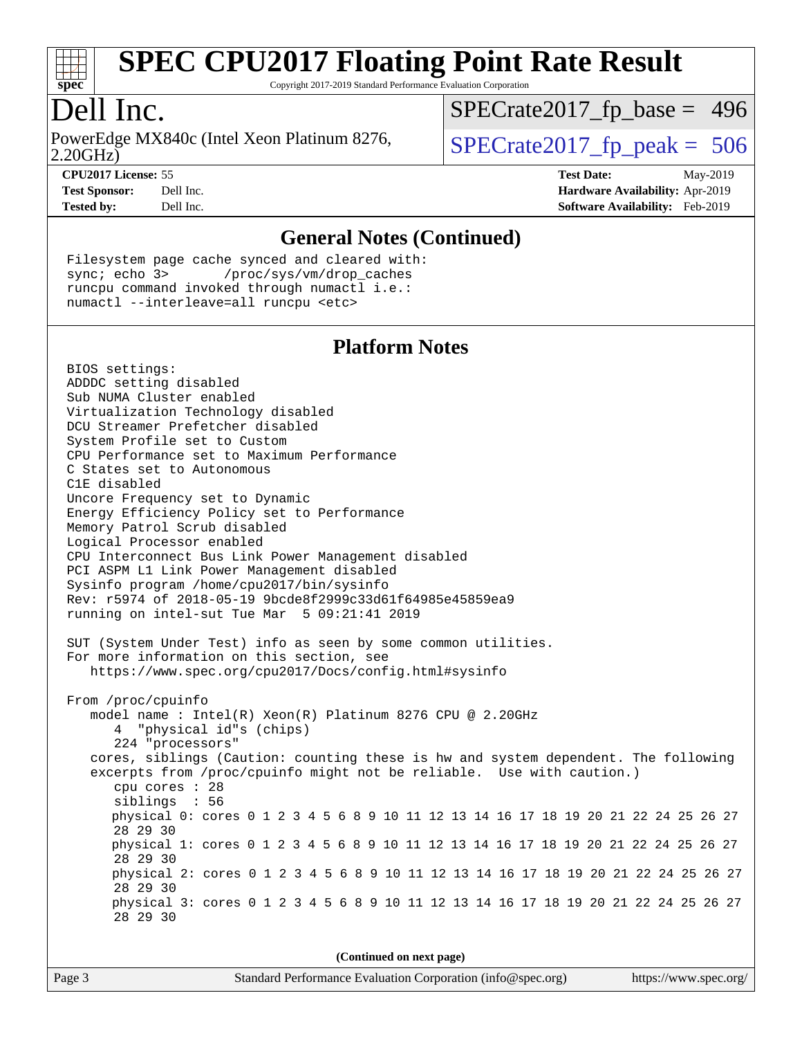

Copyright 2017-2019 Standard Performance Evaluation Corporation

### Dell Inc.

2.20GHz) PowerEdge MX840c (Intel Xeon Platinum 8276,  $\vert$  [SPECrate2017\\_fp\\_peak =](http://www.spec.org/auto/cpu2017/Docs/result-fields.html#SPECrate2017fppeak) 506

[SPECrate2017\\_fp\\_base =](http://www.spec.org/auto/cpu2017/Docs/result-fields.html#SPECrate2017fpbase) 496

**[CPU2017 License:](http://www.spec.org/auto/cpu2017/Docs/result-fields.html#CPU2017License)** 55 **[Test Date:](http://www.spec.org/auto/cpu2017/Docs/result-fields.html#TestDate)** May-2019 **[Test Sponsor:](http://www.spec.org/auto/cpu2017/Docs/result-fields.html#TestSponsor)** Dell Inc. **[Hardware Availability:](http://www.spec.org/auto/cpu2017/Docs/result-fields.html#HardwareAvailability)** Apr-2019 **[Tested by:](http://www.spec.org/auto/cpu2017/Docs/result-fields.html#Testedby)** Dell Inc. **[Software Availability:](http://www.spec.org/auto/cpu2017/Docs/result-fields.html#SoftwareAvailability)** Feb-2019

#### **[General Notes \(Continued\)](http://www.spec.org/auto/cpu2017/Docs/result-fields.html#GeneralNotes)**

 Filesystem page cache synced and cleared with: sync; echo 3> /proc/sys/vm/drop\_caches runcpu command invoked through numactl i.e.: numactl --interleave=all runcpu <etc>

#### **[Platform Notes](http://www.spec.org/auto/cpu2017/Docs/result-fields.html#PlatformNotes)**

 BIOS settings: ADDDC setting disabled Sub NUMA Cluster enabled Virtualization Technology disabled DCU Streamer Prefetcher disabled System Profile set to Custom CPU Performance set to Maximum Performance C States set to Autonomous C1E disabled Uncore Frequency set to Dynamic Energy Efficiency Policy set to Performance Memory Patrol Scrub disabled Logical Processor enabled CPU Interconnect Bus Link Power Management disabled PCI ASPM L1 Link Power Management disabled Sysinfo program /home/cpu2017/bin/sysinfo Rev: r5974 of 2018-05-19 9bcde8f2999c33d61f64985e45859ea9 running on intel-sut Tue Mar 5 09:21:41 2019 SUT (System Under Test) info as seen by some common utilities. For more information on this section, see <https://www.spec.org/cpu2017/Docs/config.html#sysinfo> From /proc/cpuinfo model name : Intel(R) Xeon(R) Platinum 8276 CPU @ 2.20GHz 4 "physical id"s (chips) 224 "processors" cores, siblings (Caution: counting these is hw and system dependent. The following excerpts from /proc/cpuinfo might not be reliable. Use with caution.) cpu cores : 28 siblings : 56 physical 0: cores 0 1 2 3 4 5 6 8 9 10 11 12 13 14 16 17 18 19 20 21 22 24 25 26 27 28 29 30 physical 1: cores 0 1 2 3 4 5 6 8 9 10 11 12 13 14 16 17 18 19 20 21 22 24 25 26 27 28 29 30 physical 2: cores 0 1 2 3 4 5 6 8 9 10 11 12 13 14 16 17 18 19 20 21 22 24 25 26 27 28 29 30 physical 3: cores 0 1 2 3 4 5 6 8 9 10 11 12 13 14 16 17 18 19 20 21 22 24 25 26 27 28 29 30

**(Continued on next page)**

| Page 3 |  |
|--------|--|
|--------|--|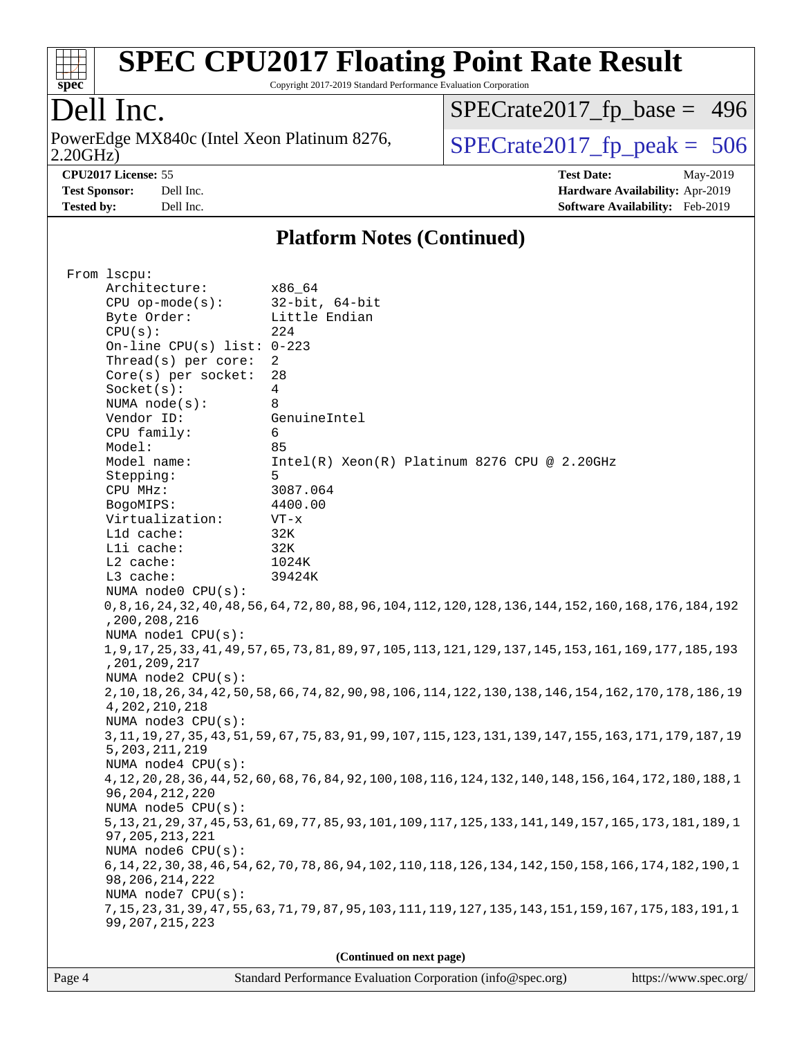

Copyright 2017-2019 Standard Performance Evaluation Corporation

### Dell Inc.

2.20GHz) PowerEdge MX840c (Intel Xeon Platinum 8276,  $\overline{SPECrate2017\_fp\_peak} = 506$ 

[SPECrate2017\\_fp\\_base =](http://www.spec.org/auto/cpu2017/Docs/result-fields.html#SPECrate2017fpbase) 496

**[CPU2017 License:](http://www.spec.org/auto/cpu2017/Docs/result-fields.html#CPU2017License)** 55 **[Test Date:](http://www.spec.org/auto/cpu2017/Docs/result-fields.html#TestDate)** May-2019 **[Test Sponsor:](http://www.spec.org/auto/cpu2017/Docs/result-fields.html#TestSponsor)** Dell Inc. **[Hardware Availability:](http://www.spec.org/auto/cpu2017/Docs/result-fields.html#HardwareAvailability)** Apr-2019 **[Tested by:](http://www.spec.org/auto/cpu2017/Docs/result-fields.html#Testedby)** Dell Inc. **[Software Availability:](http://www.spec.org/auto/cpu2017/Docs/result-fields.html#SoftwareAvailability)** Feb-2019

#### **[Platform Notes \(Continued\)](http://www.spec.org/auto/cpu2017/Docs/result-fields.html#PlatformNotes)**

| From 1scpu:                  |                                                                                                               |
|------------------------------|---------------------------------------------------------------------------------------------------------------|
| Architecture:                | x86_64                                                                                                        |
| $CPU$ op-mode(s):            | $32$ -bit, $64$ -bit                                                                                          |
| Byte Order:                  | Little Endian                                                                                                 |
| CPU(s):                      | 224                                                                                                           |
| On-line CPU(s) list: $0-223$ |                                                                                                               |
| Thread(s) per core:          | 2                                                                                                             |
| $Core(s)$ per socket:        | 28                                                                                                            |
| Socket(s):                   | $\overline{4}$                                                                                                |
| NUMA $node(s):$              | 8                                                                                                             |
| Vendor ID:                   | GenuineIntel                                                                                                  |
| CPU family:                  | 6                                                                                                             |
| Model:                       | 85                                                                                                            |
| Model name:                  | $Intel(R)$ Xeon $(R)$ Platinum 8276 CPU @ 2.20GHz                                                             |
| Stepping:                    | 5                                                                                                             |
| CPU MHz:                     | 3087.064                                                                                                      |
| BogoMIPS:                    | 4400.00                                                                                                       |
| Virtualization:              | $VT - x$                                                                                                      |
| L1d cache:                   | 32K                                                                                                           |
| Lli cache:                   | 32K                                                                                                           |
| L2 cache:                    | 1024K                                                                                                         |
| L3 cache:                    | 39424K                                                                                                        |
| NUMA node0 CPU(s):           |                                                                                                               |
| ,200,208,216                 | 0,8,16,176,176,184,192 0,128,194,112,120,128,124,124,124,124,128,144,152,160,404,154,192                      |
| NUMA node1 CPU(s):           |                                                                                                               |
| , 201, 209, 217              | 1, 9, 17, 25, 33, 41, 49, 57, 65, 73, 81, 89, 97, 105, 113, 121, 129, 137, 145, 153, 161, 169, 177, 185, 193  |
| NUMA $node2$ $CPU(s)$ :      |                                                                                                               |
|                              | 2, 10, 18, 26, 34, 42, 50, 58, 66, 74, 82, 90, 98, 106, 114, 122, 130, 138, 146, 154, 162, 170, 178, 186, 19  |
| 4, 202, 210, 218             |                                                                                                               |
| NUMA node3 CPU(s):           |                                                                                                               |
|                              | 3, 11, 19, 27, 35, 43, 51, 59, 67, 75, 83, 91, 99, 107, 115, 123, 131, 139, 147, 155, 163, 171, 179, 187, 19  |
| 5, 203, 211, 219             |                                                                                                               |
| NUMA node4 CPU(s):           |                                                                                                               |
|                              | 4, 12, 20, 28, 36, 44, 52, 60, 68, 76, 84, 92, 100, 108, 116, 124, 132, 140, 148, 156, 164, 172, 180, 188, 1  |
| 96, 204, 212, 220            |                                                                                                               |
| NUMA node5 CPU(s):           |                                                                                                               |
|                              | 5, 13, 21, 29, 37, 45, 53, 61, 69, 77, 85, 93, 101, 109, 117, 125, 133, 141, 149, 157, 165, 173, 181, 189, 1  |
| 97, 205, 213, 221            |                                                                                                               |
| NUMA node6 CPU(s):           |                                                                                                               |
|                              | 6, 14, 22, 30, 38, 46, 54, 62, 110, 110, 110, 1110, 1110, 94, 126, 134, 150, 54, 64, 54, 66, 174, 182, 190, 1 |
| 98, 206, 214, 222            |                                                                                                               |
| NUMA node7 CPU(s):           |                                                                                                               |
| 99, 207, 215, 223            | 7, 15, 23, 31, 39, 47, 55, 63, 71, 79, 87, 95, 103, 111, 119, 127, 135, 143, 151, 159, 167, 175, 183, 191, 1  |
|                              |                                                                                                               |
|                              | (Continued on next page)                                                                                      |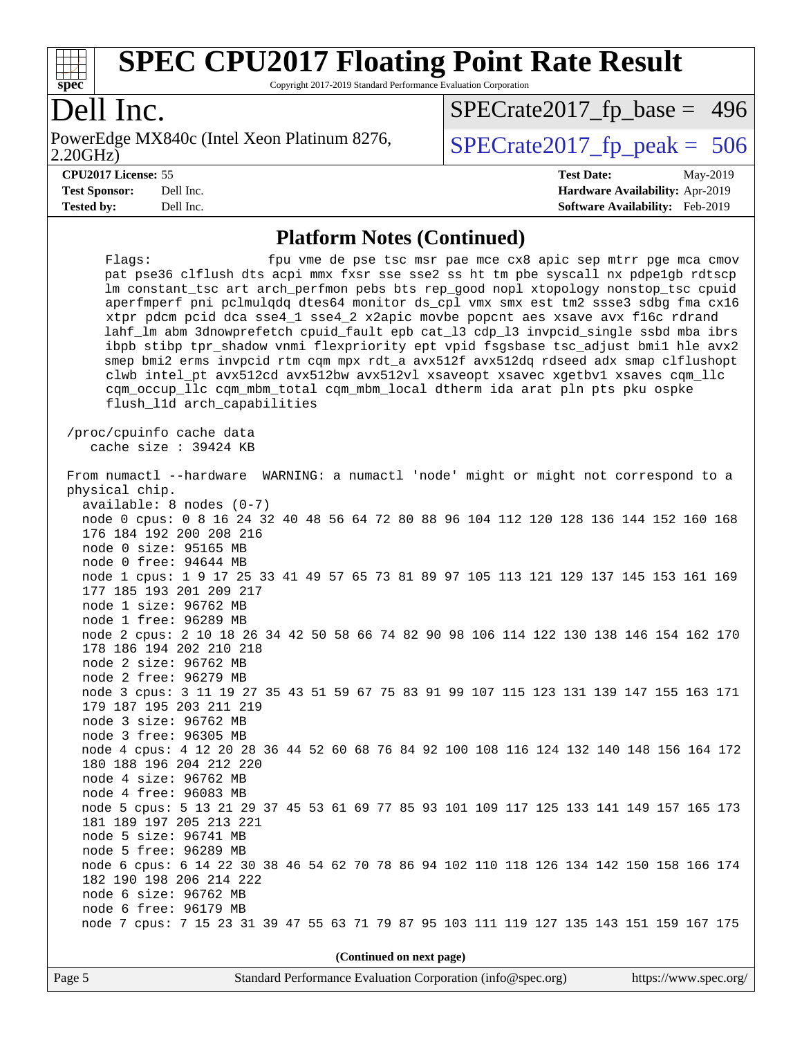

Copyright 2017-2019 Standard Performance Evaluation Corporation

### Dell Inc.

2.20GHz) PowerEdge MX840c (Intel Xeon Platinum 8276,  $\overline{SPECrate2017\_fp\_peak} = 506$ 

[SPECrate2017\\_fp\\_base =](http://www.spec.org/auto/cpu2017/Docs/result-fields.html#SPECrate2017fpbase) 496

**[Tested by:](http://www.spec.org/auto/cpu2017/Docs/result-fields.html#Testedby)** Dell Inc. **[Software Availability:](http://www.spec.org/auto/cpu2017/Docs/result-fields.html#SoftwareAvailability)** Feb-2019

**[CPU2017 License:](http://www.spec.org/auto/cpu2017/Docs/result-fields.html#CPU2017License)** 55 **[Test Date:](http://www.spec.org/auto/cpu2017/Docs/result-fields.html#TestDate)** May-2019 **[Test Sponsor:](http://www.spec.org/auto/cpu2017/Docs/result-fields.html#TestSponsor)** Dell Inc. **[Hardware Availability:](http://www.spec.org/auto/cpu2017/Docs/result-fields.html#HardwareAvailability)** Apr-2019

#### **[Platform Notes \(Continued\)](http://www.spec.org/auto/cpu2017/Docs/result-fields.html#PlatformNotes)**

| fpu vme de pse tsc msr pae mce cx8 apic sep mtrr pge mca cmov<br>Flaqs:<br>pat pse36 clflush dts acpi mmx fxsr sse sse2 ss ht tm pbe syscall nx pdpelgb rdtscp<br>lm constant_tsc art arch_perfmon pebs bts rep_good nopl xtopology nonstop_tsc cpuid<br>aperfmperf pni pclmulqdq dtes64 monitor ds_cpl vmx smx est tm2 ssse3 sdbg fma cx16<br>xtpr pdcm pcid dca sse4_1 sse4_2 x2apic movbe popcnt aes xsave avx f16c rdrand<br>lahf_lm abm 3dnowprefetch cpuid_fault epb cat_13 cdp_13 invpcid_single ssbd mba ibrs<br>ibpb stibp tpr_shadow vnmi flexpriority ept vpid fsgsbase tsc_adjust bmil hle avx2<br>smep bmi2 erms invpcid rtm cqm mpx rdt_a avx512f avx512dq rdseed adx smap clflushopt<br>clwb intel_pt avx512cd avx512bw avx512vl xsaveopt xsavec xgetbvl xsaves cqm_llc<br>cqm_occup_llc cqm_mbm_total cqm_mbm_local dtherm ida arat pln pts pku ospke<br>flush_l1d arch_capabilities |  |  |  |  |
|------------------------------------------------------------------------------------------------------------------------------------------------------------------------------------------------------------------------------------------------------------------------------------------------------------------------------------------------------------------------------------------------------------------------------------------------------------------------------------------------------------------------------------------------------------------------------------------------------------------------------------------------------------------------------------------------------------------------------------------------------------------------------------------------------------------------------------------------------------------------------------------------------|--|--|--|--|
| /proc/cpuinfo cache data<br>cache size : 39424 KB                                                                                                                                                                                                                                                                                                                                                                                                                                                                                                                                                                                                                                                                                                                                                                                                                                                    |  |  |  |  |
| From numactl --hardware WARNING: a numactl 'node' might or might not correspond to a<br>physical chip.<br>available: 8 nodes (0-7)                                                                                                                                                                                                                                                                                                                                                                                                                                                                                                                                                                                                                                                                                                                                                                   |  |  |  |  |
| node 0 cpus: 0 8 16 24 32 40 48 56 64 72 80 88 96 104 112 120 128 136 144 152 160 168<br>176 184 192 200 208 216<br>node 0 size: 95165 MB                                                                                                                                                                                                                                                                                                                                                                                                                                                                                                                                                                                                                                                                                                                                                            |  |  |  |  |
| node 0 free: 94644 MB<br>node 1 cpus: 1 9 17 25 33 41 49 57 65 73 81 89 97 105 113 121 129 137 145 153 161 169<br>177 185 193 201 209 217<br>node 1 size: 96762 MB                                                                                                                                                                                                                                                                                                                                                                                                                                                                                                                                                                                                                                                                                                                                   |  |  |  |  |
| node 1 free: 96289 MB<br>node 2 cpus: 2 10 18 26 34 42 50 58 66 74 82 90 98 106 114 122 130 138 146 154 162 170<br>178 186 194 202 210 218<br>node 2 size: 96762 MB                                                                                                                                                                                                                                                                                                                                                                                                                                                                                                                                                                                                                                                                                                                                  |  |  |  |  |
| node 2 free: 96279 MB<br>node 3 cpus: 3 11 19 27 35 43 51 59 67 75 83 91 99 107 115 123 131 139 147 155 163 171<br>179 187 195 203 211 219<br>node 3 size: 96762 MB                                                                                                                                                                                                                                                                                                                                                                                                                                                                                                                                                                                                                                                                                                                                  |  |  |  |  |
| node 3 free: 96305 MB<br>node 4 cpus: 4 12 20 28 36 44 52 60 68 76 84 92 100 108 116 124 132 140 148 156 164 172<br>180 188 196 204 212 220<br>node 4 size: 96762 MB                                                                                                                                                                                                                                                                                                                                                                                                                                                                                                                                                                                                                                                                                                                                 |  |  |  |  |
| node 4 free: 96083 MB<br>node 5 cpus: 5 13 21 29 37 45 53 61 69 77 85 93 101 109 117 125 133 141 149 157 165 173<br>181 189 197 205 213 221<br>node 5 size: 96741 MB                                                                                                                                                                                                                                                                                                                                                                                                                                                                                                                                                                                                                                                                                                                                 |  |  |  |  |
| node 5 free: 96289 MB<br>node 6 cpus: 6 14 22 30 38 46 54 62 70 78 86 94 102 110 118 126 134 142 150 158 166 174<br>182 190 198 206 214 222<br>node 6 size: 96762 MB                                                                                                                                                                                                                                                                                                                                                                                                                                                                                                                                                                                                                                                                                                                                 |  |  |  |  |
| node 6 free: 96179 MB<br>node 7 cpus: 7 15 23 31 39 47 55 63 71 79 87 95 103 111 119 127 135 143 151 159 167 175                                                                                                                                                                                                                                                                                                                                                                                                                                                                                                                                                                                                                                                                                                                                                                                     |  |  |  |  |
| (Continued on next page)                                                                                                                                                                                                                                                                                                                                                                                                                                                                                                                                                                                                                                                                                                                                                                                                                                                                             |  |  |  |  |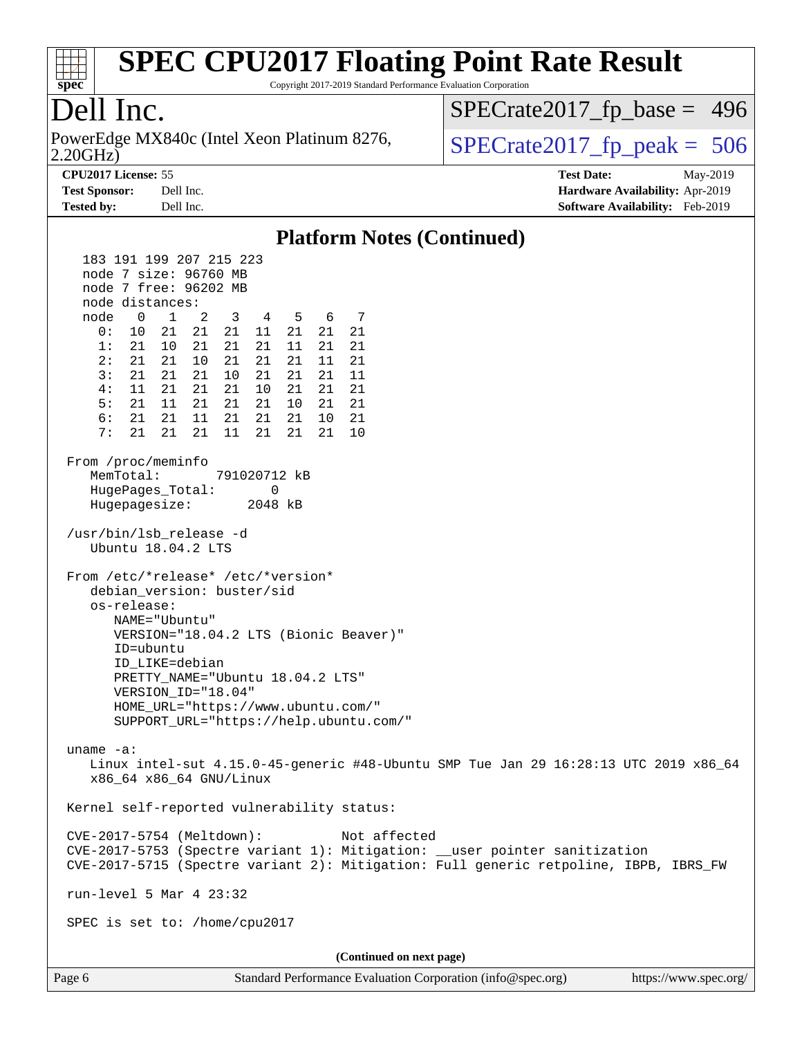

Copyright 2017-2019 Standard Performance Evaluation Corporation

### Dell Inc.

2.20GHz) PowerEdge MX840c (Intel Xeon Platinum 8276,  $\vert$  [SPECrate2017\\_fp\\_peak =](http://www.spec.org/auto/cpu2017/Docs/result-fields.html#SPECrate2017fppeak) 506

[SPECrate2017\\_fp\\_base =](http://www.spec.org/auto/cpu2017/Docs/result-fields.html#SPECrate2017fpbase) 496

**[CPU2017 License:](http://www.spec.org/auto/cpu2017/Docs/result-fields.html#CPU2017License)** 55 **[Test Date:](http://www.spec.org/auto/cpu2017/Docs/result-fields.html#TestDate)** May-2019 **[Test Sponsor:](http://www.spec.org/auto/cpu2017/Docs/result-fields.html#TestSponsor)** Dell Inc. **[Hardware Availability:](http://www.spec.org/auto/cpu2017/Docs/result-fields.html#HardwareAvailability)** Apr-2019

#### **[Tested by:](http://www.spec.org/auto/cpu2017/Docs/result-fields.html#Testedby)** Dell Inc. **[Software Availability:](http://www.spec.org/auto/cpu2017/Docs/result-fields.html#SoftwareAvailability)** Feb-2019 **[Platform Notes \(Continued\)](http://www.spec.org/auto/cpu2017/Docs/result-fields.html#PlatformNotes)** 183 191 199 207 215 223 node 7 size: 96760 MB node 7 free: 96202 MB node distances: node 0 1 2 3 4 5 6 7 0: 10 21 21 21 11 21 21 21 1: 21 10 21 21 21 11 21 21 2: 21 21 10 21 21 21 11 21 3: 21 21 21 10 21 21 21 11 4: 11 21 21 21 10 21 21 21 5: 21 11 21 21 21 10 21 21 6: 21 21 11 21 21 21 10 21 7: 21 21 21 11 21 21 21 10 From /proc/meminfo MemTotal: 791020712 kB HugePages\_Total: 0 Hugepagesize: 2048 kB /usr/bin/lsb\_release -d Ubuntu 18.04.2 LTS From /etc/\*release\* /etc/\*version\* debian\_version: buster/sid os-release: NAME="Ubuntu" VERSION="18.04.2 LTS (Bionic Beaver)" ID=ubuntu ID\_LIKE=debian PRETTY\_NAME="Ubuntu 18.04.2 LTS" VERSION\_ID="18.04" HOME\_URL="<https://www.ubuntu.com/"> SUPPORT\_URL="<https://help.ubuntu.com/"> uname -a: Linux intel-sut 4.15.0-45-generic #48-Ubuntu SMP Tue Jan 29 16:28:13 UTC 2019 x86\_64 x86\_64 x86\_64 GNU/Linux Kernel self-reported vulnerability status: CVE-2017-5754 (Meltdown): Not affected CVE-2017-5753 (Spectre variant 1): Mitigation: \_\_user pointer sanitization CVE-2017-5715 (Spectre variant 2): Mitigation: Full generic retpoline, IBPB, IBRS\_FW run-level 5 Mar 4 23:32 SPEC is set to: /home/cpu2017 **(Continued on next page)**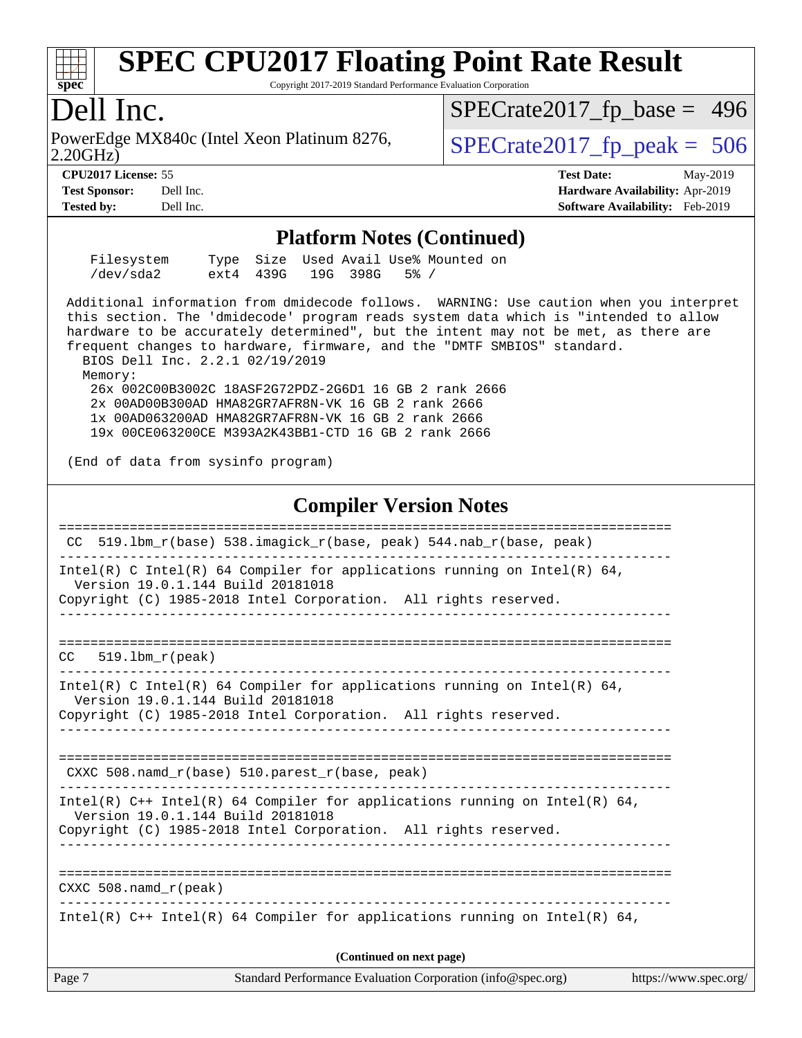

Copyright 2017-2019 Standard Performance Evaluation Corporation

#### Dell Inc.

2.20GHz) PowerEdge MX840c (Intel Xeon Platinum 8276,  $\vert$  [SPECrate2017\\_fp\\_peak =](http://www.spec.org/auto/cpu2017/Docs/result-fields.html#SPECrate2017fppeak) 506

[SPECrate2017\\_fp\\_base =](http://www.spec.org/auto/cpu2017/Docs/result-fields.html#SPECrate2017fpbase) 496

**[CPU2017 License:](http://www.spec.org/auto/cpu2017/Docs/result-fields.html#CPU2017License)** 55 **[Test Date:](http://www.spec.org/auto/cpu2017/Docs/result-fields.html#TestDate)** May-2019 **[Test Sponsor:](http://www.spec.org/auto/cpu2017/Docs/result-fields.html#TestSponsor)** Dell Inc. **[Hardware Availability:](http://www.spec.org/auto/cpu2017/Docs/result-fields.html#HardwareAvailability)** Apr-2019 **[Tested by:](http://www.spec.org/auto/cpu2017/Docs/result-fields.html#Testedby)** Dell Inc. **[Software Availability:](http://www.spec.org/auto/cpu2017/Docs/result-fields.html#SoftwareAvailability)** Feb-2019

#### **[Platform Notes \(Continued\)](http://www.spec.org/auto/cpu2017/Docs/result-fields.html#PlatformNotes)**

| Filesystem |                        |  | Type Size Used Avail Use% Mounted on |  |
|------------|------------------------|--|--------------------------------------|--|
| /dev/sda2  | ext4 439G 19G 398G 5%/ |  |                                      |  |

 Additional information from dmidecode follows. WARNING: Use caution when you interpret this section. The 'dmidecode' program reads system data which is "intended to allow hardware to be accurately determined", but the intent may not be met, as there are frequent changes to hardware, firmware, and the "DMTF SMBIOS" standard.

 BIOS Dell Inc. 2.2.1 02/19/2019 Memory:

 26x 002C00B3002C 18ASF2G72PDZ-2G6D1 16 GB 2 rank 2666 2x 00AD00B300AD HMA82GR7AFR8N-VK 16 GB 2 rank 2666 1x 00AD063200AD HMA82GR7AFR8N-VK 16 GB 2 rank 2666 19x 00CE063200CE M393A2K43BB1-CTD 16 GB 2 rank 2666

(End of data from sysinfo program)

#### **[Compiler Version Notes](http://www.spec.org/auto/cpu2017/Docs/result-fields.html#CompilerVersionNotes)**

|        | CC 519.1bm $r(base)$ 538.imagick $r(base, peak)$ 544.nab $r(base, peak)$                                                                                                           |
|--------|------------------------------------------------------------------------------------------------------------------------------------------------------------------------------------|
|        | Intel(R) C Intel(R) 64 Compiler for applications running on Intel(R) 64,<br>Version 19.0.1.144 Build 20181018<br>Copyright (C) 1985-2018 Intel Corporation. All rights reserved.   |
|        | $CC = 519.1$ bm $r(\text{peak})$<br>_____________________________________                                                                                                          |
|        | Intel(R) C Intel(R) 64 Compiler for applications running on Intel(R) 64,<br>Version 19.0.1.144 Build 20181018<br>Copyright (C) 1985-2018 Intel Corporation. All rights reserved.   |
|        | CXXC 508.namd_r(base) 510.parest_r(base, peak)                                                                                                                                     |
|        | Intel(R) C++ Intel(R) 64 Compiler for applications running on Intel(R) 64,<br>Version 19.0.1.144 Build 20181018<br>Copyright (C) 1985-2018 Intel Corporation. All rights reserved. |
|        | CXXC 508.namd_r(peak)                                                                                                                                                              |
|        | Intel(R) $C++$ Intel(R) 64 Compiler for applications running on Intel(R) 64,                                                                                                       |
|        | (Continued on next page)                                                                                                                                                           |
| Page 7 | Standard Performance Evaluation Corporation (info@spec.org)<br>https://www.spec.org/                                                                                               |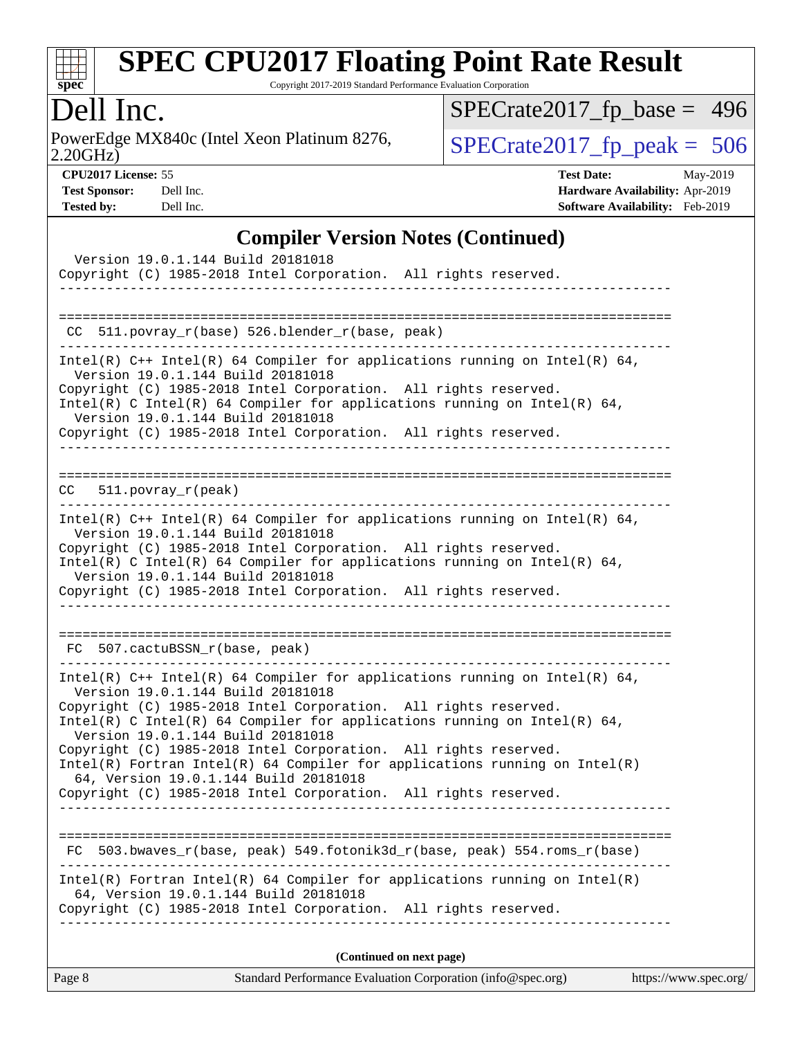

Copyright 2017-2019 Standard Performance Evaluation Corporation

### Dell Inc.

2.20GHz) PowerEdge MX840c (Intel Xeon Platinum 8276,  $\overline{SPECrate2017\_fp\_peak} = 506$ 

[SPECrate2017\\_fp\\_base =](http://www.spec.org/auto/cpu2017/Docs/result-fields.html#SPECrate2017fpbase) 496

| 01 02017 LIGHBG. 99  |           |
|----------------------|-----------|
| <b>Fest Sponsor:</b> | Dell In   |
| .                    | $T = 11T$ |

**[CPU2017 License:](http://www.spec.org/auto/cpu2017/Docs/result-fields.html#CPU2017License)** 55 **[Test Date:](http://www.spec.org/auto/cpu2017/Docs/result-fields.html#TestDate)** May-2019 **[Test Sponsor:](http://www.spec.org/auto/cpu2017/Docs/result-fields.html#TestSponsor) [Hardware Availability:](http://www.spec.org/auto/cpu2017/Docs/result-fields.html#HardwareAvailability)** Apr-2019 **[Tested by:](http://www.spec.org/auto/cpu2017/Docs/result-fields.html#Testedby)** Dell Inc. **[Software Availability:](http://www.spec.org/auto/cpu2017/Docs/result-fields.html#SoftwareAvailability)** Feb-2019

#### **[Compiler Version Notes \(Continued\)](http://www.spec.org/auto/cpu2017/Docs/result-fields.html#CompilerVersionNotes)**

| Version 19.0.1.144 Build 20181018<br>Copyright (C) 1985-2018 Intel Corporation. All rights reserved.                                                                                                                                                                                                                                                                                                                                                                                                                                                                 |  |
|----------------------------------------------------------------------------------------------------------------------------------------------------------------------------------------------------------------------------------------------------------------------------------------------------------------------------------------------------------------------------------------------------------------------------------------------------------------------------------------------------------------------------------------------------------------------|--|
| CC 511.povray_r(base) 526.blender_r(base, peak)                                                                                                                                                                                                                                                                                                                                                                                                                                                                                                                      |  |
| Intel(R) $C++$ Intel(R) 64 Compiler for applications running on Intel(R) 64,<br>Version 19.0.1.144 Build 20181018<br>Copyright (C) 1985-2018 Intel Corporation. All rights reserved.<br>Intel(R) C Intel(R) 64 Compiler for applications running on Intel(R) 64,<br>Version 19.0.1.144 Build 20181018                                                                                                                                                                                                                                                                |  |
| Copyright (C) 1985-2018 Intel Corporation. All rights reserved.<br>$CC = 511. povray_r (peak)$                                                                                                                                                                                                                                                                                                                                                                                                                                                                       |  |
| .<br>Intel(R) $C++$ Intel(R) 64 Compiler for applications running on Intel(R) 64,<br>Version 19.0.1.144 Build 20181018<br>Copyright (C) 1985-2018 Intel Corporation. All rights reserved.<br>Intel(R) C Intel(R) 64 Compiler for applications running on Intel(R) 64,<br>Version 19.0.1.144 Build 20181018<br>Copyright (C) 1985-2018 Intel Corporation. All rights reserved.                                                                                                                                                                                        |  |
| FC 507.cactuBSSN_r(base, peak)                                                                                                                                                                                                                                                                                                                                                                                                                                                                                                                                       |  |
| Intel(R) $C++$ Intel(R) 64 Compiler for applications running on Intel(R) 64,<br>Version 19.0.1.144 Build 20181018<br>Copyright (C) 1985-2018 Intel Corporation. All rights reserved.<br>Intel(R) C Intel(R) 64 Compiler for applications running on Intel(R) 64,<br>Version 19.0.1.144 Build 20181018<br>Copyright (C) 1985-2018 Intel Corporation. All rights reserved.<br>$Intel(R)$ Fortran Intel(R) 64 Compiler for applications running on Intel(R)<br>64, Version 19.0.1.144 Build 20181018<br>Copyright (C) 1985-2018 Intel Corporation. All rights reserved. |  |
| FC 503.bwaves_r(base, peak) 549.fotonik3d_r(base, peak) 554.roms_r(base)                                                                                                                                                                                                                                                                                                                                                                                                                                                                                             |  |
| $Intel(R)$ Fortran Intel(R) 64 Compiler for applications running on Intel(R)<br>64, Version 19.0.1.144 Build 20181018<br>Copyright (C) 1985-2018 Intel Corporation. All rights reserved.<br><u>. Le de de de de de de</u>                                                                                                                                                                                                                                                                                                                                            |  |
| (Continued on next page)                                                                                                                                                                                                                                                                                                                                                                                                                                                                                                                                             |  |

Page 8 Standard Performance Evaluation Corporation [\(info@spec.org\)](mailto:info@spec.org) <https://www.spec.org/>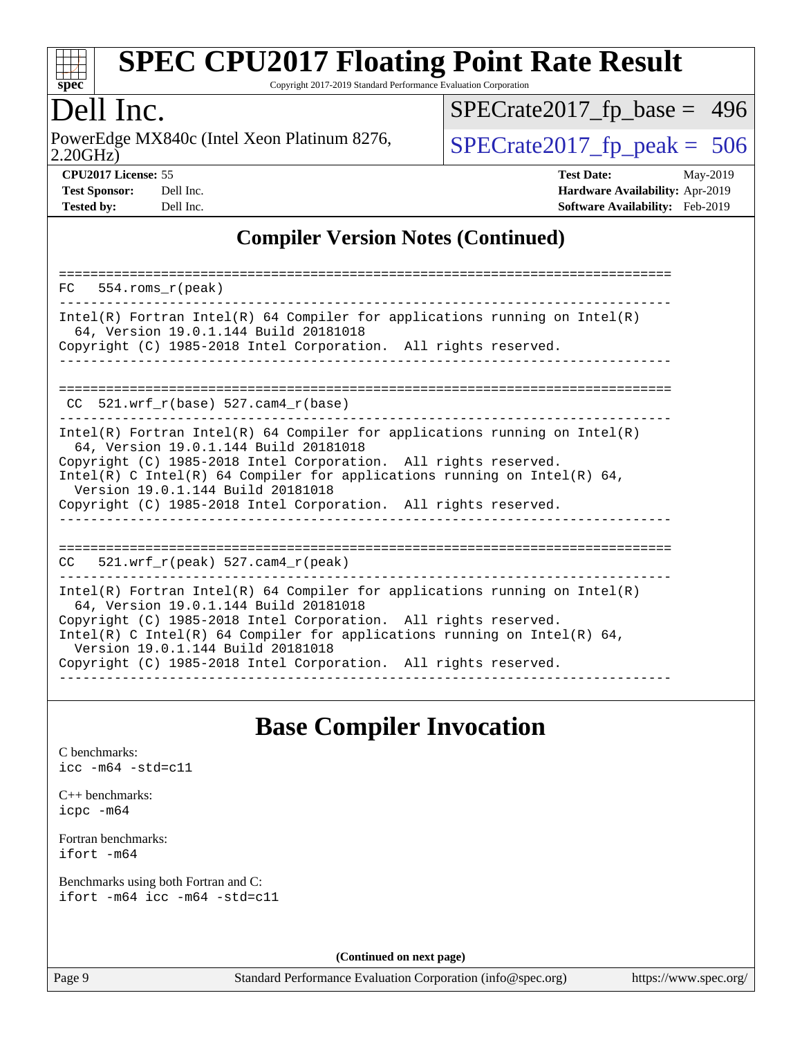

Copyright 2017-2019 Standard Performance Evaluation Corporation

### Dell Inc.

2.20GHz) PowerEdge MX840c (Intel Xeon Platinum 8276,  $\vert$  [SPECrate2017\\_fp\\_peak =](http://www.spec.org/auto/cpu2017/Docs/result-fields.html#SPECrate2017fppeak) 506

[SPECrate2017\\_fp\\_base =](http://www.spec.org/auto/cpu2017/Docs/result-fields.html#SPECrate2017fpbase) 496

| <b>Test Sponsor:</b> | Dell In  |
|----------------------|----------|
| Toetod hv•           | ىما 11مD |

**[CPU2017 License:](http://www.spec.org/auto/cpu2017/Docs/result-fields.html#CPU2017License)** 55 **[Test Date:](http://www.spec.org/auto/cpu2017/Docs/result-fields.html#TestDate)** May-2019 **[Test Sponsor:](http://www.spec.org/auto/cpu2017/Docs/result-fields.html#TestSponsor) [Hardware Availability:](http://www.spec.org/auto/cpu2017/Docs/result-fields.html#HardwareAvailability)** Apr-2019 **[Tested by:](http://www.spec.org/auto/cpu2017/Docs/result-fields.html#Testedby)** Dell Inc. **[Software Availability:](http://www.spec.org/auto/cpu2017/Docs/result-fields.html#SoftwareAvailability)** Feb-2019

#### **[Compiler Version Notes \(Continued\)](http://www.spec.org/auto/cpu2017/Docs/result-fields.html#CompilerVersionNotes)**

| 554.roms r(peak)<br>FC                                                                                                                                                                                                                                                                                                                                                     |
|----------------------------------------------------------------------------------------------------------------------------------------------------------------------------------------------------------------------------------------------------------------------------------------------------------------------------------------------------------------------------|
| Intel(R) Fortran Intel(R) 64 Compiler for applications running on Intel(R)<br>64, Version 19.0.1.144 Build 20181018<br>Copyright (C) 1985-2018 Intel Corporation. All rights reserved.                                                                                                                                                                                     |
| CC $521.$ wrf $r(base) 527.$ cam4 $r(base)$                                                                                                                                                                                                                                                                                                                                |
| Intel(R) Fortran Intel(R) 64 Compiler for applications running on Intel(R)<br>64, Version 19.0.1.144 Build 20181018<br>Copyright (C) 1985-2018 Intel Corporation. All rights reserved.<br>Intel(R) C Intel(R) 64 Compiler for applications running on Intel(R) 64,<br>Version 19.0.1.144 Build 20181018<br>Copyright (C) 1985-2018 Intel Corporation. All rights reserved. |
| 521.wrf $r(\text{peak})$ 527.cam4 $r(\text{peak})$<br>CC                                                                                                                                                                                                                                                                                                                   |
| Intel(R) Fortran Intel(R) 64 Compiler for applications running on Intel(R)<br>64, Version 19.0.1.144 Build 20181018<br>Copyright (C) 1985-2018 Intel Corporation. All rights reserved.<br>Intel(R) C Intel(R) 64 Compiler for applications running on Intel(R) 64,<br>Version 19.0.1.144 Build 20181018<br>Copyright (C) 1985-2018 Intel Corporation. All rights reserved. |

#### **[Base Compiler Invocation](http://www.spec.org/auto/cpu2017/Docs/result-fields.html#BaseCompilerInvocation)**

[C benchmarks](http://www.spec.org/auto/cpu2017/Docs/result-fields.html#Cbenchmarks): [icc -m64 -std=c11](http://www.spec.org/cpu2017/results/res2019q3/cpu2017-20190624-15461.flags.html#user_CCbase_intel_icc_64bit_c11_33ee0cdaae7deeeab2a9725423ba97205ce30f63b9926c2519791662299b76a0318f32ddfffdc46587804de3178b4f9328c46fa7c2b0cd779d7a61945c91cd35)

[C++ benchmarks:](http://www.spec.org/auto/cpu2017/Docs/result-fields.html#CXXbenchmarks) [icpc -m64](http://www.spec.org/cpu2017/results/res2019q3/cpu2017-20190624-15461.flags.html#user_CXXbase_intel_icpc_64bit_4ecb2543ae3f1412ef961e0650ca070fec7b7afdcd6ed48761b84423119d1bf6bdf5cad15b44d48e7256388bc77273b966e5eb805aefd121eb22e9299b2ec9d9)

[Fortran benchmarks](http://www.spec.org/auto/cpu2017/Docs/result-fields.html#Fortranbenchmarks): [ifort -m64](http://www.spec.org/cpu2017/results/res2019q3/cpu2017-20190624-15461.flags.html#user_FCbase_intel_ifort_64bit_24f2bb282fbaeffd6157abe4f878425411749daecae9a33200eee2bee2fe76f3b89351d69a8130dd5949958ce389cf37ff59a95e7a40d588e8d3a57e0c3fd751)

[Benchmarks using both Fortran and C](http://www.spec.org/auto/cpu2017/Docs/result-fields.html#BenchmarksusingbothFortranandC): [ifort -m64](http://www.spec.org/cpu2017/results/res2019q3/cpu2017-20190624-15461.flags.html#user_CC_FCbase_intel_ifort_64bit_24f2bb282fbaeffd6157abe4f878425411749daecae9a33200eee2bee2fe76f3b89351d69a8130dd5949958ce389cf37ff59a95e7a40d588e8d3a57e0c3fd751) [icc -m64 -std=c11](http://www.spec.org/cpu2017/results/res2019q3/cpu2017-20190624-15461.flags.html#user_CC_FCbase_intel_icc_64bit_c11_33ee0cdaae7deeeab2a9725423ba97205ce30f63b9926c2519791662299b76a0318f32ddfffdc46587804de3178b4f9328c46fa7c2b0cd779d7a61945c91cd35)

**(Continued on next page)**

Page 9 Standard Performance Evaluation Corporation [\(info@spec.org\)](mailto:info@spec.org) <https://www.spec.org/>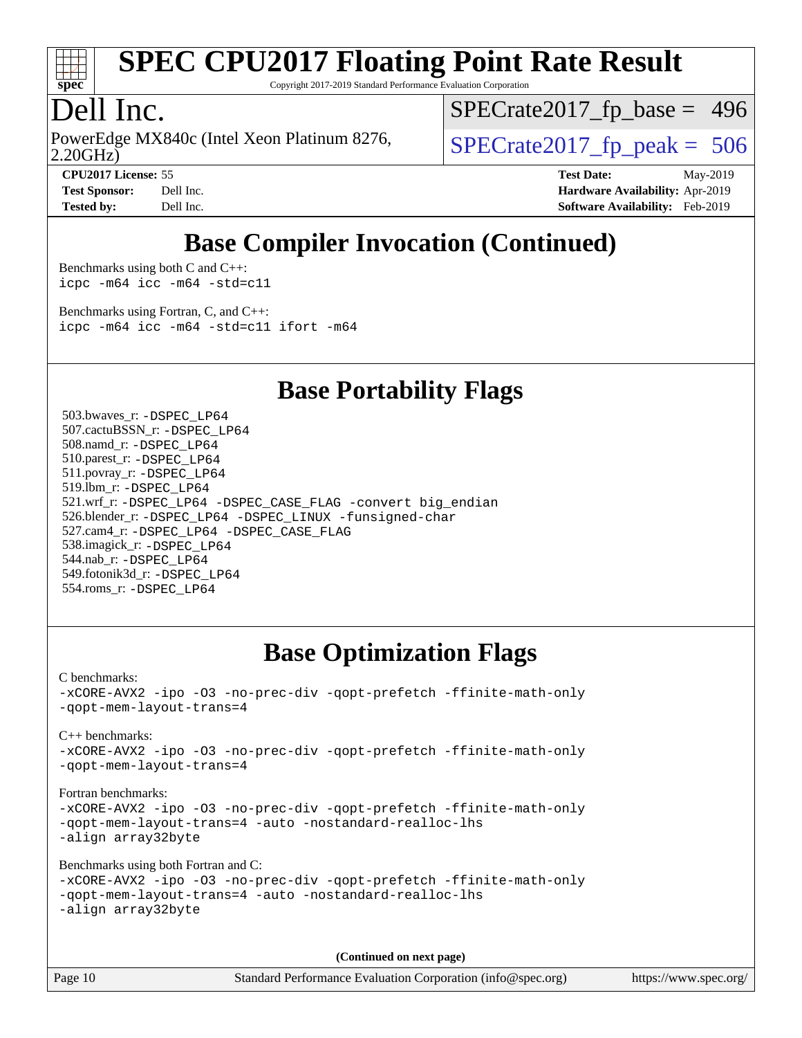

Copyright 2017-2019 Standard Performance Evaluation Corporation

### Dell Inc.

2.20GHz) PowerEdge MX840c (Intel Xeon Platinum 8276,  $\vert$  [SPECrate2017\\_fp\\_peak =](http://www.spec.org/auto/cpu2017/Docs/result-fields.html#SPECrate2017fppeak) 506

[SPECrate2017\\_fp\\_base =](http://www.spec.org/auto/cpu2017/Docs/result-fields.html#SPECrate2017fpbase) 496

**[CPU2017 License:](http://www.spec.org/auto/cpu2017/Docs/result-fields.html#CPU2017License)** 55 **[Test Date:](http://www.spec.org/auto/cpu2017/Docs/result-fields.html#TestDate)** May-2019 **[Test Sponsor:](http://www.spec.org/auto/cpu2017/Docs/result-fields.html#TestSponsor)** Dell Inc. **[Hardware Availability:](http://www.spec.org/auto/cpu2017/Docs/result-fields.html#HardwareAvailability)** Apr-2019 **[Tested by:](http://www.spec.org/auto/cpu2017/Docs/result-fields.html#Testedby)** Dell Inc. **[Software Availability:](http://www.spec.org/auto/cpu2017/Docs/result-fields.html#SoftwareAvailability)** Feb-2019

### **[Base Compiler Invocation \(Continued\)](http://www.spec.org/auto/cpu2017/Docs/result-fields.html#BaseCompilerInvocation)**

[Benchmarks using both C and C++](http://www.spec.org/auto/cpu2017/Docs/result-fields.html#BenchmarksusingbothCandCXX): [icpc -m64](http://www.spec.org/cpu2017/results/res2019q3/cpu2017-20190624-15461.flags.html#user_CC_CXXbase_intel_icpc_64bit_4ecb2543ae3f1412ef961e0650ca070fec7b7afdcd6ed48761b84423119d1bf6bdf5cad15b44d48e7256388bc77273b966e5eb805aefd121eb22e9299b2ec9d9) [icc -m64 -std=c11](http://www.spec.org/cpu2017/results/res2019q3/cpu2017-20190624-15461.flags.html#user_CC_CXXbase_intel_icc_64bit_c11_33ee0cdaae7deeeab2a9725423ba97205ce30f63b9926c2519791662299b76a0318f32ddfffdc46587804de3178b4f9328c46fa7c2b0cd779d7a61945c91cd35)

[Benchmarks using Fortran, C, and C++:](http://www.spec.org/auto/cpu2017/Docs/result-fields.html#BenchmarksusingFortranCandCXX) [icpc -m64](http://www.spec.org/cpu2017/results/res2019q3/cpu2017-20190624-15461.flags.html#user_CC_CXX_FCbase_intel_icpc_64bit_4ecb2543ae3f1412ef961e0650ca070fec7b7afdcd6ed48761b84423119d1bf6bdf5cad15b44d48e7256388bc77273b966e5eb805aefd121eb22e9299b2ec9d9) [icc -m64 -std=c11](http://www.spec.org/cpu2017/results/res2019q3/cpu2017-20190624-15461.flags.html#user_CC_CXX_FCbase_intel_icc_64bit_c11_33ee0cdaae7deeeab2a9725423ba97205ce30f63b9926c2519791662299b76a0318f32ddfffdc46587804de3178b4f9328c46fa7c2b0cd779d7a61945c91cd35) [ifort -m64](http://www.spec.org/cpu2017/results/res2019q3/cpu2017-20190624-15461.flags.html#user_CC_CXX_FCbase_intel_ifort_64bit_24f2bb282fbaeffd6157abe4f878425411749daecae9a33200eee2bee2fe76f3b89351d69a8130dd5949958ce389cf37ff59a95e7a40d588e8d3a57e0c3fd751)

#### **[Base Portability Flags](http://www.spec.org/auto/cpu2017/Docs/result-fields.html#BasePortabilityFlags)**

 503.bwaves\_r: [-DSPEC\\_LP64](http://www.spec.org/cpu2017/results/res2019q3/cpu2017-20190624-15461.flags.html#suite_basePORTABILITY503_bwaves_r_DSPEC_LP64) 507.cactuBSSN\_r: [-DSPEC\\_LP64](http://www.spec.org/cpu2017/results/res2019q3/cpu2017-20190624-15461.flags.html#suite_basePORTABILITY507_cactuBSSN_r_DSPEC_LP64) 508.namd\_r: [-DSPEC\\_LP64](http://www.spec.org/cpu2017/results/res2019q3/cpu2017-20190624-15461.flags.html#suite_basePORTABILITY508_namd_r_DSPEC_LP64) 510.parest\_r: [-DSPEC\\_LP64](http://www.spec.org/cpu2017/results/res2019q3/cpu2017-20190624-15461.flags.html#suite_basePORTABILITY510_parest_r_DSPEC_LP64) 511.povray\_r: [-DSPEC\\_LP64](http://www.spec.org/cpu2017/results/res2019q3/cpu2017-20190624-15461.flags.html#suite_basePORTABILITY511_povray_r_DSPEC_LP64) 519.lbm\_r: [-DSPEC\\_LP64](http://www.spec.org/cpu2017/results/res2019q3/cpu2017-20190624-15461.flags.html#suite_basePORTABILITY519_lbm_r_DSPEC_LP64) 521.wrf\_r: [-DSPEC\\_LP64](http://www.spec.org/cpu2017/results/res2019q3/cpu2017-20190624-15461.flags.html#suite_basePORTABILITY521_wrf_r_DSPEC_LP64) [-DSPEC\\_CASE\\_FLAG](http://www.spec.org/cpu2017/results/res2019q3/cpu2017-20190624-15461.flags.html#b521.wrf_r_baseCPORTABILITY_DSPEC_CASE_FLAG) [-convert big\\_endian](http://www.spec.org/cpu2017/results/res2019q3/cpu2017-20190624-15461.flags.html#user_baseFPORTABILITY521_wrf_r_convert_big_endian_c3194028bc08c63ac5d04de18c48ce6d347e4e562e8892b8bdbdc0214820426deb8554edfa529a3fb25a586e65a3d812c835984020483e7e73212c4d31a38223) 526.blender\_r: [-DSPEC\\_LP64](http://www.spec.org/cpu2017/results/res2019q3/cpu2017-20190624-15461.flags.html#suite_basePORTABILITY526_blender_r_DSPEC_LP64) [-DSPEC\\_LINUX](http://www.spec.org/cpu2017/results/res2019q3/cpu2017-20190624-15461.flags.html#b526.blender_r_baseCPORTABILITY_DSPEC_LINUX) [-funsigned-char](http://www.spec.org/cpu2017/results/res2019q3/cpu2017-20190624-15461.flags.html#user_baseCPORTABILITY526_blender_r_force_uchar_40c60f00ab013830e2dd6774aeded3ff59883ba5a1fc5fc14077f794d777847726e2a5858cbc7672e36e1b067e7e5c1d9a74f7176df07886a243d7cc18edfe67) 527.cam4\_r: [-DSPEC\\_LP64](http://www.spec.org/cpu2017/results/res2019q3/cpu2017-20190624-15461.flags.html#suite_basePORTABILITY527_cam4_r_DSPEC_LP64) [-DSPEC\\_CASE\\_FLAG](http://www.spec.org/cpu2017/results/res2019q3/cpu2017-20190624-15461.flags.html#b527.cam4_r_baseCPORTABILITY_DSPEC_CASE_FLAG) 538.imagick\_r: [-DSPEC\\_LP64](http://www.spec.org/cpu2017/results/res2019q3/cpu2017-20190624-15461.flags.html#suite_basePORTABILITY538_imagick_r_DSPEC_LP64) 544.nab\_r: [-DSPEC\\_LP64](http://www.spec.org/cpu2017/results/res2019q3/cpu2017-20190624-15461.flags.html#suite_basePORTABILITY544_nab_r_DSPEC_LP64) 549.fotonik3d\_r: [-DSPEC\\_LP64](http://www.spec.org/cpu2017/results/res2019q3/cpu2017-20190624-15461.flags.html#suite_basePORTABILITY549_fotonik3d_r_DSPEC_LP64) 554.roms\_r: [-DSPEC\\_LP64](http://www.spec.org/cpu2017/results/res2019q3/cpu2017-20190624-15461.flags.html#suite_basePORTABILITY554_roms_r_DSPEC_LP64)

#### **[Base Optimization Flags](http://www.spec.org/auto/cpu2017/Docs/result-fields.html#BaseOptimizationFlags)**

[C benchmarks](http://www.spec.org/auto/cpu2017/Docs/result-fields.html#Cbenchmarks): [-xCORE-AVX2](http://www.spec.org/cpu2017/results/res2019q3/cpu2017-20190624-15461.flags.html#user_CCbase_f-xCORE-AVX2) [-ipo](http://www.spec.org/cpu2017/results/res2019q3/cpu2017-20190624-15461.flags.html#user_CCbase_f-ipo) [-O3](http://www.spec.org/cpu2017/results/res2019q3/cpu2017-20190624-15461.flags.html#user_CCbase_f-O3) [-no-prec-div](http://www.spec.org/cpu2017/results/res2019q3/cpu2017-20190624-15461.flags.html#user_CCbase_f-no-prec-div) [-qopt-prefetch](http://www.spec.org/cpu2017/results/res2019q3/cpu2017-20190624-15461.flags.html#user_CCbase_f-qopt-prefetch) [-ffinite-math-only](http://www.spec.org/cpu2017/results/res2019q3/cpu2017-20190624-15461.flags.html#user_CCbase_f_finite_math_only_cb91587bd2077682c4b38af759c288ed7c732db004271a9512da14a4f8007909a5f1427ecbf1a0fb78ff2a814402c6114ac565ca162485bbcae155b5e4258871) [-qopt-mem-layout-trans=4](http://www.spec.org/cpu2017/results/res2019q3/cpu2017-20190624-15461.flags.html#user_CCbase_f-qopt-mem-layout-trans_fa39e755916c150a61361b7846f310bcdf6f04e385ef281cadf3647acec3f0ae266d1a1d22d972a7087a248fd4e6ca390a3634700869573d231a252c784941a8) [C++ benchmarks:](http://www.spec.org/auto/cpu2017/Docs/result-fields.html#CXXbenchmarks) [-xCORE-AVX2](http://www.spec.org/cpu2017/results/res2019q3/cpu2017-20190624-15461.flags.html#user_CXXbase_f-xCORE-AVX2) [-ipo](http://www.spec.org/cpu2017/results/res2019q3/cpu2017-20190624-15461.flags.html#user_CXXbase_f-ipo) [-O3](http://www.spec.org/cpu2017/results/res2019q3/cpu2017-20190624-15461.flags.html#user_CXXbase_f-O3) [-no-prec-div](http://www.spec.org/cpu2017/results/res2019q3/cpu2017-20190624-15461.flags.html#user_CXXbase_f-no-prec-div) [-qopt-prefetch](http://www.spec.org/cpu2017/results/res2019q3/cpu2017-20190624-15461.flags.html#user_CXXbase_f-qopt-prefetch) [-ffinite-math-only](http://www.spec.org/cpu2017/results/res2019q3/cpu2017-20190624-15461.flags.html#user_CXXbase_f_finite_math_only_cb91587bd2077682c4b38af759c288ed7c732db004271a9512da14a4f8007909a5f1427ecbf1a0fb78ff2a814402c6114ac565ca162485bbcae155b5e4258871) [-qopt-mem-layout-trans=4](http://www.spec.org/cpu2017/results/res2019q3/cpu2017-20190624-15461.flags.html#user_CXXbase_f-qopt-mem-layout-trans_fa39e755916c150a61361b7846f310bcdf6f04e385ef281cadf3647acec3f0ae266d1a1d22d972a7087a248fd4e6ca390a3634700869573d231a252c784941a8) [Fortran benchmarks](http://www.spec.org/auto/cpu2017/Docs/result-fields.html#Fortranbenchmarks): [-xCORE-AVX2](http://www.spec.org/cpu2017/results/res2019q3/cpu2017-20190624-15461.flags.html#user_FCbase_f-xCORE-AVX2) [-ipo](http://www.spec.org/cpu2017/results/res2019q3/cpu2017-20190624-15461.flags.html#user_FCbase_f-ipo) [-O3](http://www.spec.org/cpu2017/results/res2019q3/cpu2017-20190624-15461.flags.html#user_FCbase_f-O3) [-no-prec-div](http://www.spec.org/cpu2017/results/res2019q3/cpu2017-20190624-15461.flags.html#user_FCbase_f-no-prec-div) [-qopt-prefetch](http://www.spec.org/cpu2017/results/res2019q3/cpu2017-20190624-15461.flags.html#user_FCbase_f-qopt-prefetch) [-ffinite-math-only](http://www.spec.org/cpu2017/results/res2019q3/cpu2017-20190624-15461.flags.html#user_FCbase_f_finite_math_only_cb91587bd2077682c4b38af759c288ed7c732db004271a9512da14a4f8007909a5f1427ecbf1a0fb78ff2a814402c6114ac565ca162485bbcae155b5e4258871) [-qopt-mem-layout-trans=4](http://www.spec.org/cpu2017/results/res2019q3/cpu2017-20190624-15461.flags.html#user_FCbase_f-qopt-mem-layout-trans_fa39e755916c150a61361b7846f310bcdf6f04e385ef281cadf3647acec3f0ae266d1a1d22d972a7087a248fd4e6ca390a3634700869573d231a252c784941a8) [-auto](http://www.spec.org/cpu2017/results/res2019q3/cpu2017-20190624-15461.flags.html#user_FCbase_f-auto) [-nostandard-realloc-lhs](http://www.spec.org/cpu2017/results/res2019q3/cpu2017-20190624-15461.flags.html#user_FCbase_f_2003_std_realloc_82b4557e90729c0f113870c07e44d33d6f5a304b4f63d4c15d2d0f1fab99f5daaed73bdb9275d9ae411527f28b936061aa8b9c8f2d63842963b95c9dd6426b8a) [-align array32byte](http://www.spec.org/cpu2017/results/res2019q3/cpu2017-20190624-15461.flags.html#user_FCbase_align_array32byte_b982fe038af199962ba9a80c053b8342c548c85b40b8e86eb3cc33dee0d7986a4af373ac2d51c3f7cf710a18d62fdce2948f201cd044323541f22fc0fffc51b6) [Benchmarks using both Fortran and C](http://www.spec.org/auto/cpu2017/Docs/result-fields.html#BenchmarksusingbothFortranandC): [-xCORE-AVX2](http://www.spec.org/cpu2017/results/res2019q3/cpu2017-20190624-15461.flags.html#user_CC_FCbase_f-xCORE-AVX2) [-ipo](http://www.spec.org/cpu2017/results/res2019q3/cpu2017-20190624-15461.flags.html#user_CC_FCbase_f-ipo) [-O3](http://www.spec.org/cpu2017/results/res2019q3/cpu2017-20190624-15461.flags.html#user_CC_FCbase_f-O3) [-no-prec-div](http://www.spec.org/cpu2017/results/res2019q3/cpu2017-20190624-15461.flags.html#user_CC_FCbase_f-no-prec-div) [-qopt-prefetch](http://www.spec.org/cpu2017/results/res2019q3/cpu2017-20190624-15461.flags.html#user_CC_FCbase_f-qopt-prefetch) [-ffinite-math-only](http://www.spec.org/cpu2017/results/res2019q3/cpu2017-20190624-15461.flags.html#user_CC_FCbase_f_finite_math_only_cb91587bd2077682c4b38af759c288ed7c732db004271a9512da14a4f8007909a5f1427ecbf1a0fb78ff2a814402c6114ac565ca162485bbcae155b5e4258871) [-qopt-mem-layout-trans=4](http://www.spec.org/cpu2017/results/res2019q3/cpu2017-20190624-15461.flags.html#user_CC_FCbase_f-qopt-mem-layout-trans_fa39e755916c150a61361b7846f310bcdf6f04e385ef281cadf3647acec3f0ae266d1a1d22d972a7087a248fd4e6ca390a3634700869573d231a252c784941a8) [-auto](http://www.spec.org/cpu2017/results/res2019q3/cpu2017-20190624-15461.flags.html#user_CC_FCbase_f-auto) [-nostandard-realloc-lhs](http://www.spec.org/cpu2017/results/res2019q3/cpu2017-20190624-15461.flags.html#user_CC_FCbase_f_2003_std_realloc_82b4557e90729c0f113870c07e44d33d6f5a304b4f63d4c15d2d0f1fab99f5daaed73bdb9275d9ae411527f28b936061aa8b9c8f2d63842963b95c9dd6426b8a) [-align array32byte](http://www.spec.org/cpu2017/results/res2019q3/cpu2017-20190624-15461.flags.html#user_CC_FCbase_align_array32byte_b982fe038af199962ba9a80c053b8342c548c85b40b8e86eb3cc33dee0d7986a4af373ac2d51c3f7cf710a18d62fdce2948f201cd044323541f22fc0fffc51b6) **(Continued on next page)**

Page 10 Standard Performance Evaluation Corporation [\(info@spec.org\)](mailto:info@spec.org) <https://www.spec.org/>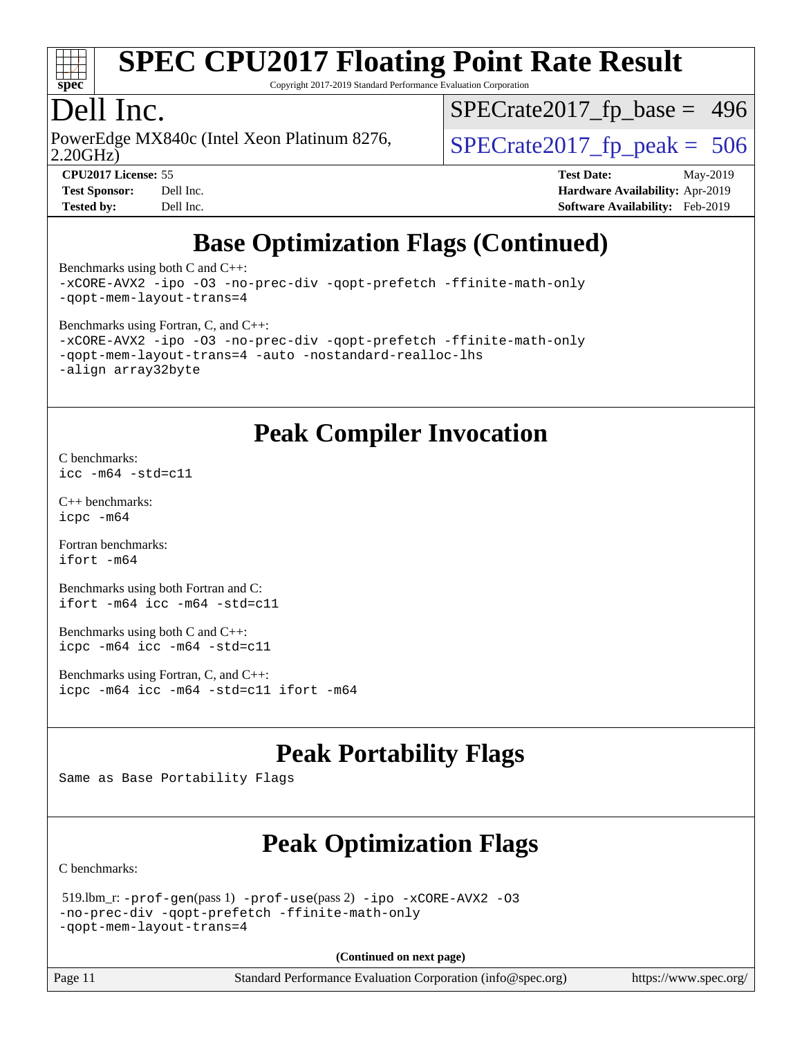

Copyright 2017-2019 Standard Performance Evaluation Corporation

### Dell Inc.

2.20GHz) PowerEdge MX840c (Intel Xeon Platinum 8276,  $\vert$  [SPECrate2017\\_fp\\_peak =](http://www.spec.org/auto/cpu2017/Docs/result-fields.html#SPECrate2017fppeak) 506

[SPECrate2017\\_fp\\_base =](http://www.spec.org/auto/cpu2017/Docs/result-fields.html#SPECrate2017fpbase) 496

**[CPU2017 License:](http://www.spec.org/auto/cpu2017/Docs/result-fields.html#CPU2017License)** 55 **[Test Date:](http://www.spec.org/auto/cpu2017/Docs/result-fields.html#TestDate)** May-2019 **[Test Sponsor:](http://www.spec.org/auto/cpu2017/Docs/result-fields.html#TestSponsor)** Dell Inc. **[Hardware Availability:](http://www.spec.org/auto/cpu2017/Docs/result-fields.html#HardwareAvailability)** Apr-2019 **[Tested by:](http://www.spec.org/auto/cpu2017/Docs/result-fields.html#Testedby)** Dell Inc. **[Software Availability:](http://www.spec.org/auto/cpu2017/Docs/result-fields.html#SoftwareAvailability)** Feb-2019

## **[Base Optimization Flags \(Continued\)](http://www.spec.org/auto/cpu2017/Docs/result-fields.html#BaseOptimizationFlags)**

[Benchmarks using both C and C++](http://www.spec.org/auto/cpu2017/Docs/result-fields.html#BenchmarksusingbothCandCXX): [-xCORE-AVX2](http://www.spec.org/cpu2017/results/res2019q3/cpu2017-20190624-15461.flags.html#user_CC_CXXbase_f-xCORE-AVX2) [-ipo](http://www.spec.org/cpu2017/results/res2019q3/cpu2017-20190624-15461.flags.html#user_CC_CXXbase_f-ipo) [-O3](http://www.spec.org/cpu2017/results/res2019q3/cpu2017-20190624-15461.flags.html#user_CC_CXXbase_f-O3) [-no-prec-div](http://www.spec.org/cpu2017/results/res2019q3/cpu2017-20190624-15461.flags.html#user_CC_CXXbase_f-no-prec-div) [-qopt-prefetch](http://www.spec.org/cpu2017/results/res2019q3/cpu2017-20190624-15461.flags.html#user_CC_CXXbase_f-qopt-prefetch) [-ffinite-math-only](http://www.spec.org/cpu2017/results/res2019q3/cpu2017-20190624-15461.flags.html#user_CC_CXXbase_f_finite_math_only_cb91587bd2077682c4b38af759c288ed7c732db004271a9512da14a4f8007909a5f1427ecbf1a0fb78ff2a814402c6114ac565ca162485bbcae155b5e4258871) [-qopt-mem-layout-trans=4](http://www.spec.org/cpu2017/results/res2019q3/cpu2017-20190624-15461.flags.html#user_CC_CXXbase_f-qopt-mem-layout-trans_fa39e755916c150a61361b7846f310bcdf6f04e385ef281cadf3647acec3f0ae266d1a1d22d972a7087a248fd4e6ca390a3634700869573d231a252c784941a8)

[Benchmarks using Fortran, C, and C++:](http://www.spec.org/auto/cpu2017/Docs/result-fields.html#BenchmarksusingFortranCandCXX)

```
-xCORE-AVX2 -ipo -O3 -no-prec-div -qopt-prefetch -ffinite-math-only
-qopt-mem-layout-trans=4 -auto -nostandard-realloc-lhs
-align array32byte
```
#### **[Peak Compiler Invocation](http://www.spec.org/auto/cpu2017/Docs/result-fields.html#PeakCompilerInvocation)**

[C benchmarks](http://www.spec.org/auto/cpu2017/Docs/result-fields.html#Cbenchmarks): [icc -m64 -std=c11](http://www.spec.org/cpu2017/results/res2019q3/cpu2017-20190624-15461.flags.html#user_CCpeak_intel_icc_64bit_c11_33ee0cdaae7deeeab2a9725423ba97205ce30f63b9926c2519791662299b76a0318f32ddfffdc46587804de3178b4f9328c46fa7c2b0cd779d7a61945c91cd35)

[C++ benchmarks:](http://www.spec.org/auto/cpu2017/Docs/result-fields.html#CXXbenchmarks) [icpc -m64](http://www.spec.org/cpu2017/results/res2019q3/cpu2017-20190624-15461.flags.html#user_CXXpeak_intel_icpc_64bit_4ecb2543ae3f1412ef961e0650ca070fec7b7afdcd6ed48761b84423119d1bf6bdf5cad15b44d48e7256388bc77273b966e5eb805aefd121eb22e9299b2ec9d9)

[Fortran benchmarks](http://www.spec.org/auto/cpu2017/Docs/result-fields.html#Fortranbenchmarks): [ifort -m64](http://www.spec.org/cpu2017/results/res2019q3/cpu2017-20190624-15461.flags.html#user_FCpeak_intel_ifort_64bit_24f2bb282fbaeffd6157abe4f878425411749daecae9a33200eee2bee2fe76f3b89351d69a8130dd5949958ce389cf37ff59a95e7a40d588e8d3a57e0c3fd751)

[Benchmarks using both Fortran and C](http://www.spec.org/auto/cpu2017/Docs/result-fields.html#BenchmarksusingbothFortranandC): [ifort -m64](http://www.spec.org/cpu2017/results/res2019q3/cpu2017-20190624-15461.flags.html#user_CC_FCpeak_intel_ifort_64bit_24f2bb282fbaeffd6157abe4f878425411749daecae9a33200eee2bee2fe76f3b89351d69a8130dd5949958ce389cf37ff59a95e7a40d588e8d3a57e0c3fd751) [icc -m64 -std=c11](http://www.spec.org/cpu2017/results/res2019q3/cpu2017-20190624-15461.flags.html#user_CC_FCpeak_intel_icc_64bit_c11_33ee0cdaae7deeeab2a9725423ba97205ce30f63b9926c2519791662299b76a0318f32ddfffdc46587804de3178b4f9328c46fa7c2b0cd779d7a61945c91cd35)

[Benchmarks using both C and C++](http://www.spec.org/auto/cpu2017/Docs/result-fields.html#BenchmarksusingbothCandCXX): [icpc -m64](http://www.spec.org/cpu2017/results/res2019q3/cpu2017-20190624-15461.flags.html#user_CC_CXXpeak_intel_icpc_64bit_4ecb2543ae3f1412ef961e0650ca070fec7b7afdcd6ed48761b84423119d1bf6bdf5cad15b44d48e7256388bc77273b966e5eb805aefd121eb22e9299b2ec9d9) [icc -m64 -std=c11](http://www.spec.org/cpu2017/results/res2019q3/cpu2017-20190624-15461.flags.html#user_CC_CXXpeak_intel_icc_64bit_c11_33ee0cdaae7deeeab2a9725423ba97205ce30f63b9926c2519791662299b76a0318f32ddfffdc46587804de3178b4f9328c46fa7c2b0cd779d7a61945c91cd35)

[Benchmarks using Fortran, C, and C++:](http://www.spec.org/auto/cpu2017/Docs/result-fields.html#BenchmarksusingFortranCandCXX) [icpc -m64](http://www.spec.org/cpu2017/results/res2019q3/cpu2017-20190624-15461.flags.html#user_CC_CXX_FCpeak_intel_icpc_64bit_4ecb2543ae3f1412ef961e0650ca070fec7b7afdcd6ed48761b84423119d1bf6bdf5cad15b44d48e7256388bc77273b966e5eb805aefd121eb22e9299b2ec9d9) [icc -m64 -std=c11](http://www.spec.org/cpu2017/results/res2019q3/cpu2017-20190624-15461.flags.html#user_CC_CXX_FCpeak_intel_icc_64bit_c11_33ee0cdaae7deeeab2a9725423ba97205ce30f63b9926c2519791662299b76a0318f32ddfffdc46587804de3178b4f9328c46fa7c2b0cd779d7a61945c91cd35) [ifort -m64](http://www.spec.org/cpu2017/results/res2019q3/cpu2017-20190624-15461.flags.html#user_CC_CXX_FCpeak_intel_ifort_64bit_24f2bb282fbaeffd6157abe4f878425411749daecae9a33200eee2bee2fe76f3b89351d69a8130dd5949958ce389cf37ff59a95e7a40d588e8d3a57e0c3fd751)

### **[Peak Portability Flags](http://www.spec.org/auto/cpu2017/Docs/result-fields.html#PeakPortabilityFlags)**

Same as Base Portability Flags

### **[Peak Optimization Flags](http://www.spec.org/auto/cpu2017/Docs/result-fields.html#PeakOptimizationFlags)**

[C benchmarks](http://www.spec.org/auto/cpu2017/Docs/result-fields.html#Cbenchmarks):

```
 519.lbm_r: -prof-gen(pass 1) -prof-use(pass 2) -ipo -xCORE-AVX2 -O3
-no-prec-div -qopt-prefetch -ffinite-math-only
-qopt-mem-layout-trans=4
```
**(Continued on next page)**

Page 11 Standard Performance Evaluation Corporation [\(info@spec.org\)](mailto:info@spec.org) <https://www.spec.org/>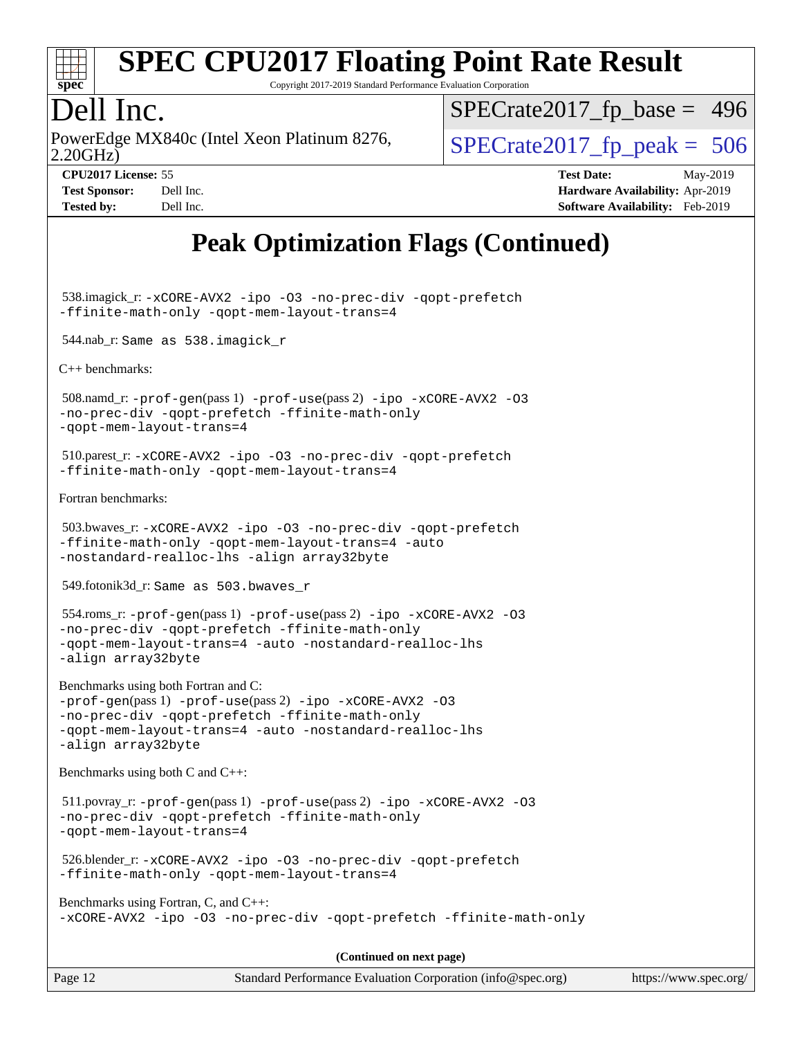

Copyright 2017-2019 Standard Performance Evaluation Corporation

### Dell Inc.

2.20GHz) PowerEdge MX840c (Intel Xeon Platinum 8276,  $\vert$  [SPECrate2017\\_fp\\_peak =](http://www.spec.org/auto/cpu2017/Docs/result-fields.html#SPECrate2017fppeak) 506

[SPECrate2017\\_fp\\_base =](http://www.spec.org/auto/cpu2017/Docs/result-fields.html#SPECrate2017fpbase) 496

**[CPU2017 License:](http://www.spec.org/auto/cpu2017/Docs/result-fields.html#CPU2017License)** 55 **[Test Date:](http://www.spec.org/auto/cpu2017/Docs/result-fields.html#TestDate)** May-2019 **[Test Sponsor:](http://www.spec.org/auto/cpu2017/Docs/result-fields.html#TestSponsor)** Dell Inc. **[Hardware Availability:](http://www.spec.org/auto/cpu2017/Docs/result-fields.html#HardwareAvailability)** Apr-2019 **[Tested by:](http://www.spec.org/auto/cpu2017/Docs/result-fields.html#Testedby)** Dell Inc. **[Software Availability:](http://www.spec.org/auto/cpu2017/Docs/result-fields.html#SoftwareAvailability)** Feb-2019

### **[Peak Optimization Flags \(Continued\)](http://www.spec.org/auto/cpu2017/Docs/result-fields.html#PeakOptimizationFlags)**

 538.imagick\_r: [-xCORE-AVX2](http://www.spec.org/cpu2017/results/res2019q3/cpu2017-20190624-15461.flags.html#user_peakCOPTIMIZE538_imagick_r_f-xCORE-AVX2) [-ipo](http://www.spec.org/cpu2017/results/res2019q3/cpu2017-20190624-15461.flags.html#user_peakCOPTIMIZE538_imagick_r_f-ipo) [-O3](http://www.spec.org/cpu2017/results/res2019q3/cpu2017-20190624-15461.flags.html#user_peakCOPTIMIZE538_imagick_r_f-O3) [-no-prec-div](http://www.spec.org/cpu2017/results/res2019q3/cpu2017-20190624-15461.flags.html#user_peakCOPTIMIZE538_imagick_r_f-no-prec-div) [-qopt-prefetch](http://www.spec.org/cpu2017/results/res2019q3/cpu2017-20190624-15461.flags.html#user_peakCOPTIMIZE538_imagick_r_f-qopt-prefetch) [-ffinite-math-only](http://www.spec.org/cpu2017/results/res2019q3/cpu2017-20190624-15461.flags.html#user_peakCOPTIMIZE538_imagick_r_f_finite_math_only_cb91587bd2077682c4b38af759c288ed7c732db004271a9512da14a4f8007909a5f1427ecbf1a0fb78ff2a814402c6114ac565ca162485bbcae155b5e4258871) [-qopt-mem-layout-trans=4](http://www.spec.org/cpu2017/results/res2019q3/cpu2017-20190624-15461.flags.html#user_peakCOPTIMIZE538_imagick_r_f-qopt-mem-layout-trans_fa39e755916c150a61361b7846f310bcdf6f04e385ef281cadf3647acec3f0ae266d1a1d22d972a7087a248fd4e6ca390a3634700869573d231a252c784941a8)

544.nab\_r: Same as 538.imagick\_r

[C++ benchmarks:](http://www.spec.org/auto/cpu2017/Docs/result-fields.html#CXXbenchmarks)

 508.namd\_r: [-prof-gen](http://www.spec.org/cpu2017/results/res2019q3/cpu2017-20190624-15461.flags.html#user_peakPASS1_CXXFLAGSPASS1_LDFLAGS508_namd_r_prof_gen_5aa4926d6013ddb2a31985c654b3eb18169fc0c6952a63635c234f711e6e63dd76e94ad52365559451ec499a2cdb89e4dc58ba4c67ef54ca681ffbe1461d6b36)(pass 1) [-prof-use](http://www.spec.org/cpu2017/results/res2019q3/cpu2017-20190624-15461.flags.html#user_peakPASS2_CXXFLAGSPASS2_LDFLAGS508_namd_r_prof_use_1a21ceae95f36a2b53c25747139a6c16ca95bd9def2a207b4f0849963b97e94f5260e30a0c64f4bb623698870e679ca08317ef8150905d41bd88c6f78df73f19)(pass 2) [-ipo](http://www.spec.org/cpu2017/results/res2019q3/cpu2017-20190624-15461.flags.html#user_peakPASS1_CXXOPTIMIZEPASS2_CXXOPTIMIZE508_namd_r_f-ipo) [-xCORE-AVX2](http://www.spec.org/cpu2017/results/res2019q3/cpu2017-20190624-15461.flags.html#user_peakPASS2_CXXOPTIMIZE508_namd_r_f-xCORE-AVX2) [-O3](http://www.spec.org/cpu2017/results/res2019q3/cpu2017-20190624-15461.flags.html#user_peakPASS1_CXXOPTIMIZEPASS2_CXXOPTIMIZE508_namd_r_f-O3) [-no-prec-div](http://www.spec.org/cpu2017/results/res2019q3/cpu2017-20190624-15461.flags.html#user_peakPASS1_CXXOPTIMIZEPASS2_CXXOPTIMIZE508_namd_r_f-no-prec-div) [-qopt-prefetch](http://www.spec.org/cpu2017/results/res2019q3/cpu2017-20190624-15461.flags.html#user_peakPASS1_CXXOPTIMIZEPASS2_CXXOPTIMIZE508_namd_r_f-qopt-prefetch) [-ffinite-math-only](http://www.spec.org/cpu2017/results/res2019q3/cpu2017-20190624-15461.flags.html#user_peakPASS1_CXXOPTIMIZEPASS2_CXXOPTIMIZE508_namd_r_f_finite_math_only_cb91587bd2077682c4b38af759c288ed7c732db004271a9512da14a4f8007909a5f1427ecbf1a0fb78ff2a814402c6114ac565ca162485bbcae155b5e4258871) [-qopt-mem-layout-trans=4](http://www.spec.org/cpu2017/results/res2019q3/cpu2017-20190624-15461.flags.html#user_peakPASS1_CXXOPTIMIZEPASS2_CXXOPTIMIZE508_namd_r_f-qopt-mem-layout-trans_fa39e755916c150a61361b7846f310bcdf6f04e385ef281cadf3647acec3f0ae266d1a1d22d972a7087a248fd4e6ca390a3634700869573d231a252c784941a8)

 510.parest\_r: [-xCORE-AVX2](http://www.spec.org/cpu2017/results/res2019q3/cpu2017-20190624-15461.flags.html#user_peakCXXOPTIMIZE510_parest_r_f-xCORE-AVX2) [-ipo](http://www.spec.org/cpu2017/results/res2019q3/cpu2017-20190624-15461.flags.html#user_peakCXXOPTIMIZE510_parest_r_f-ipo) [-O3](http://www.spec.org/cpu2017/results/res2019q3/cpu2017-20190624-15461.flags.html#user_peakCXXOPTIMIZE510_parest_r_f-O3) [-no-prec-div](http://www.spec.org/cpu2017/results/res2019q3/cpu2017-20190624-15461.flags.html#user_peakCXXOPTIMIZE510_parest_r_f-no-prec-div) [-qopt-prefetch](http://www.spec.org/cpu2017/results/res2019q3/cpu2017-20190624-15461.flags.html#user_peakCXXOPTIMIZE510_parest_r_f-qopt-prefetch) [-ffinite-math-only](http://www.spec.org/cpu2017/results/res2019q3/cpu2017-20190624-15461.flags.html#user_peakCXXOPTIMIZE510_parest_r_f_finite_math_only_cb91587bd2077682c4b38af759c288ed7c732db004271a9512da14a4f8007909a5f1427ecbf1a0fb78ff2a814402c6114ac565ca162485bbcae155b5e4258871) [-qopt-mem-layout-trans=4](http://www.spec.org/cpu2017/results/res2019q3/cpu2017-20190624-15461.flags.html#user_peakCXXOPTIMIZE510_parest_r_f-qopt-mem-layout-trans_fa39e755916c150a61361b7846f310bcdf6f04e385ef281cadf3647acec3f0ae266d1a1d22d972a7087a248fd4e6ca390a3634700869573d231a252c784941a8)

[Fortran benchmarks](http://www.spec.org/auto/cpu2017/Docs/result-fields.html#Fortranbenchmarks):

```
 503.bwaves_r: -xCORE-AVX2 -ipo -O3 -no-prec-div -qopt-prefetch
-ffinite-math-only -qopt-mem-layout-trans=4 -auto
-nostandard-realloc-lhs -align array32byte
```
549.fotonik3d\_r: Same as 503.bwaves\_r

 554.roms\_r: [-prof-gen](http://www.spec.org/cpu2017/results/res2019q3/cpu2017-20190624-15461.flags.html#user_peakPASS1_FFLAGSPASS1_LDFLAGS554_roms_r_prof_gen_5aa4926d6013ddb2a31985c654b3eb18169fc0c6952a63635c234f711e6e63dd76e94ad52365559451ec499a2cdb89e4dc58ba4c67ef54ca681ffbe1461d6b36)(pass 1) [-prof-use](http://www.spec.org/cpu2017/results/res2019q3/cpu2017-20190624-15461.flags.html#user_peakPASS2_FFLAGSPASS2_LDFLAGS554_roms_r_prof_use_1a21ceae95f36a2b53c25747139a6c16ca95bd9def2a207b4f0849963b97e94f5260e30a0c64f4bb623698870e679ca08317ef8150905d41bd88c6f78df73f19)(pass 2) [-ipo](http://www.spec.org/cpu2017/results/res2019q3/cpu2017-20190624-15461.flags.html#user_peakPASS1_FOPTIMIZEPASS2_FOPTIMIZE554_roms_r_f-ipo) [-xCORE-AVX2](http://www.spec.org/cpu2017/results/res2019q3/cpu2017-20190624-15461.flags.html#user_peakPASS2_FOPTIMIZE554_roms_r_f-xCORE-AVX2) [-O3](http://www.spec.org/cpu2017/results/res2019q3/cpu2017-20190624-15461.flags.html#user_peakPASS1_FOPTIMIZEPASS2_FOPTIMIZE554_roms_r_f-O3) [-no-prec-div](http://www.spec.org/cpu2017/results/res2019q3/cpu2017-20190624-15461.flags.html#user_peakPASS1_FOPTIMIZEPASS2_FOPTIMIZE554_roms_r_f-no-prec-div) [-qopt-prefetch](http://www.spec.org/cpu2017/results/res2019q3/cpu2017-20190624-15461.flags.html#user_peakPASS1_FOPTIMIZEPASS2_FOPTIMIZE554_roms_r_f-qopt-prefetch) [-ffinite-math-only](http://www.spec.org/cpu2017/results/res2019q3/cpu2017-20190624-15461.flags.html#user_peakPASS1_FOPTIMIZEPASS2_FOPTIMIZE554_roms_r_f_finite_math_only_cb91587bd2077682c4b38af759c288ed7c732db004271a9512da14a4f8007909a5f1427ecbf1a0fb78ff2a814402c6114ac565ca162485bbcae155b5e4258871) [-qopt-mem-layout-trans=4](http://www.spec.org/cpu2017/results/res2019q3/cpu2017-20190624-15461.flags.html#user_peakPASS1_FOPTIMIZEPASS2_FOPTIMIZE554_roms_r_f-qopt-mem-layout-trans_fa39e755916c150a61361b7846f310bcdf6f04e385ef281cadf3647acec3f0ae266d1a1d22d972a7087a248fd4e6ca390a3634700869573d231a252c784941a8) [-auto](http://www.spec.org/cpu2017/results/res2019q3/cpu2017-20190624-15461.flags.html#user_peakPASS2_FOPTIMIZE554_roms_r_f-auto) [-nostandard-realloc-lhs](http://www.spec.org/cpu2017/results/res2019q3/cpu2017-20190624-15461.flags.html#user_peakEXTRA_FOPTIMIZE554_roms_r_f_2003_std_realloc_82b4557e90729c0f113870c07e44d33d6f5a304b4f63d4c15d2d0f1fab99f5daaed73bdb9275d9ae411527f28b936061aa8b9c8f2d63842963b95c9dd6426b8a) [-align array32byte](http://www.spec.org/cpu2017/results/res2019q3/cpu2017-20190624-15461.flags.html#user_peakEXTRA_FOPTIMIZE554_roms_r_align_array32byte_b982fe038af199962ba9a80c053b8342c548c85b40b8e86eb3cc33dee0d7986a4af373ac2d51c3f7cf710a18d62fdce2948f201cd044323541f22fc0fffc51b6)

[Benchmarks using both Fortran and C](http://www.spec.org/auto/cpu2017/Docs/result-fields.html#BenchmarksusingbothFortranandC): [-prof-gen](http://www.spec.org/cpu2017/results/res2019q3/cpu2017-20190624-15461.flags.html#user_CC_FCpeak_prof_gen_5aa4926d6013ddb2a31985c654b3eb18169fc0c6952a63635c234f711e6e63dd76e94ad52365559451ec499a2cdb89e4dc58ba4c67ef54ca681ffbe1461d6b36)(pass 1) [-prof-use](http://www.spec.org/cpu2017/results/res2019q3/cpu2017-20190624-15461.flags.html#user_CC_FCpeak_prof_use_1a21ceae95f36a2b53c25747139a6c16ca95bd9def2a207b4f0849963b97e94f5260e30a0c64f4bb623698870e679ca08317ef8150905d41bd88c6f78df73f19)(pass 2) [-ipo](http://www.spec.org/cpu2017/results/res2019q3/cpu2017-20190624-15461.flags.html#user_CC_FCpeak_f-ipo) [-xCORE-AVX2](http://www.spec.org/cpu2017/results/res2019q3/cpu2017-20190624-15461.flags.html#user_CC_FCpeak_f-xCORE-AVX2) [-O3](http://www.spec.org/cpu2017/results/res2019q3/cpu2017-20190624-15461.flags.html#user_CC_FCpeak_f-O3) [-no-prec-div](http://www.spec.org/cpu2017/results/res2019q3/cpu2017-20190624-15461.flags.html#user_CC_FCpeak_f-no-prec-div) [-qopt-prefetch](http://www.spec.org/cpu2017/results/res2019q3/cpu2017-20190624-15461.flags.html#user_CC_FCpeak_f-qopt-prefetch) [-ffinite-math-only](http://www.spec.org/cpu2017/results/res2019q3/cpu2017-20190624-15461.flags.html#user_CC_FCpeak_f_finite_math_only_cb91587bd2077682c4b38af759c288ed7c732db004271a9512da14a4f8007909a5f1427ecbf1a0fb78ff2a814402c6114ac565ca162485bbcae155b5e4258871) [-qopt-mem-layout-trans=4](http://www.spec.org/cpu2017/results/res2019q3/cpu2017-20190624-15461.flags.html#user_CC_FCpeak_f-qopt-mem-layout-trans_fa39e755916c150a61361b7846f310bcdf6f04e385ef281cadf3647acec3f0ae266d1a1d22d972a7087a248fd4e6ca390a3634700869573d231a252c784941a8) [-auto](http://www.spec.org/cpu2017/results/res2019q3/cpu2017-20190624-15461.flags.html#user_CC_FCpeak_f-auto) [-nostandard-realloc-lhs](http://www.spec.org/cpu2017/results/res2019q3/cpu2017-20190624-15461.flags.html#user_CC_FCpeak_f_2003_std_realloc_82b4557e90729c0f113870c07e44d33d6f5a304b4f63d4c15d2d0f1fab99f5daaed73bdb9275d9ae411527f28b936061aa8b9c8f2d63842963b95c9dd6426b8a) [-align array32byte](http://www.spec.org/cpu2017/results/res2019q3/cpu2017-20190624-15461.flags.html#user_CC_FCpeak_align_array32byte_b982fe038af199962ba9a80c053b8342c548c85b40b8e86eb3cc33dee0d7986a4af373ac2d51c3f7cf710a18d62fdce2948f201cd044323541f22fc0fffc51b6)

[Benchmarks using both C and C++](http://www.spec.org/auto/cpu2017/Docs/result-fields.html#BenchmarksusingbothCandCXX):

 511.povray\_r: [-prof-gen](http://www.spec.org/cpu2017/results/res2019q3/cpu2017-20190624-15461.flags.html#user_peakPASS1_CFLAGSPASS1_CXXFLAGSPASS1_LDFLAGS511_povray_r_prof_gen_5aa4926d6013ddb2a31985c654b3eb18169fc0c6952a63635c234f711e6e63dd76e94ad52365559451ec499a2cdb89e4dc58ba4c67ef54ca681ffbe1461d6b36)(pass 1) [-prof-use](http://www.spec.org/cpu2017/results/res2019q3/cpu2017-20190624-15461.flags.html#user_peakPASS2_CFLAGSPASS2_CXXFLAGSPASS2_LDFLAGS511_povray_r_prof_use_1a21ceae95f36a2b53c25747139a6c16ca95bd9def2a207b4f0849963b97e94f5260e30a0c64f4bb623698870e679ca08317ef8150905d41bd88c6f78df73f19)(pass 2) [-ipo](http://www.spec.org/cpu2017/results/res2019q3/cpu2017-20190624-15461.flags.html#user_peakPASS1_COPTIMIZEPASS1_CXXOPTIMIZEPASS2_COPTIMIZEPASS2_CXXOPTIMIZE511_povray_r_f-ipo) [-xCORE-AVX2](http://www.spec.org/cpu2017/results/res2019q3/cpu2017-20190624-15461.flags.html#user_peakPASS2_COPTIMIZEPASS2_CXXOPTIMIZE511_povray_r_f-xCORE-AVX2) [-O3](http://www.spec.org/cpu2017/results/res2019q3/cpu2017-20190624-15461.flags.html#user_peakPASS1_COPTIMIZEPASS1_CXXOPTIMIZEPASS2_COPTIMIZEPASS2_CXXOPTIMIZE511_povray_r_f-O3) [-no-prec-div](http://www.spec.org/cpu2017/results/res2019q3/cpu2017-20190624-15461.flags.html#user_peakPASS1_COPTIMIZEPASS1_CXXOPTIMIZEPASS2_COPTIMIZEPASS2_CXXOPTIMIZE511_povray_r_f-no-prec-div) [-qopt-prefetch](http://www.spec.org/cpu2017/results/res2019q3/cpu2017-20190624-15461.flags.html#user_peakPASS1_COPTIMIZEPASS1_CXXOPTIMIZEPASS2_COPTIMIZEPASS2_CXXOPTIMIZE511_povray_r_f-qopt-prefetch) [-ffinite-math-only](http://www.spec.org/cpu2017/results/res2019q3/cpu2017-20190624-15461.flags.html#user_peakPASS1_COPTIMIZEPASS1_CXXOPTIMIZEPASS2_COPTIMIZEPASS2_CXXOPTIMIZE511_povray_r_f_finite_math_only_cb91587bd2077682c4b38af759c288ed7c732db004271a9512da14a4f8007909a5f1427ecbf1a0fb78ff2a814402c6114ac565ca162485bbcae155b5e4258871) [-qopt-mem-layout-trans=4](http://www.spec.org/cpu2017/results/res2019q3/cpu2017-20190624-15461.flags.html#user_peakPASS1_COPTIMIZEPASS1_CXXOPTIMIZEPASS2_COPTIMIZEPASS2_CXXOPTIMIZE511_povray_r_f-qopt-mem-layout-trans_fa39e755916c150a61361b7846f310bcdf6f04e385ef281cadf3647acec3f0ae266d1a1d22d972a7087a248fd4e6ca390a3634700869573d231a252c784941a8)

 526.blender\_r: [-xCORE-AVX2](http://www.spec.org/cpu2017/results/res2019q3/cpu2017-20190624-15461.flags.html#user_peakCOPTIMIZECXXOPTIMIZE526_blender_r_f-xCORE-AVX2) [-ipo](http://www.spec.org/cpu2017/results/res2019q3/cpu2017-20190624-15461.flags.html#user_peakCOPTIMIZECXXOPTIMIZE526_blender_r_f-ipo) [-O3](http://www.spec.org/cpu2017/results/res2019q3/cpu2017-20190624-15461.flags.html#user_peakCOPTIMIZECXXOPTIMIZE526_blender_r_f-O3) [-no-prec-div](http://www.spec.org/cpu2017/results/res2019q3/cpu2017-20190624-15461.flags.html#user_peakCOPTIMIZECXXOPTIMIZE526_blender_r_f-no-prec-div) [-qopt-prefetch](http://www.spec.org/cpu2017/results/res2019q3/cpu2017-20190624-15461.flags.html#user_peakCOPTIMIZECXXOPTIMIZE526_blender_r_f-qopt-prefetch) [-ffinite-math-only](http://www.spec.org/cpu2017/results/res2019q3/cpu2017-20190624-15461.flags.html#user_peakCOPTIMIZECXXOPTIMIZE526_blender_r_f_finite_math_only_cb91587bd2077682c4b38af759c288ed7c732db004271a9512da14a4f8007909a5f1427ecbf1a0fb78ff2a814402c6114ac565ca162485bbcae155b5e4258871) [-qopt-mem-layout-trans=4](http://www.spec.org/cpu2017/results/res2019q3/cpu2017-20190624-15461.flags.html#user_peakCOPTIMIZECXXOPTIMIZE526_blender_r_f-qopt-mem-layout-trans_fa39e755916c150a61361b7846f310bcdf6f04e385ef281cadf3647acec3f0ae266d1a1d22d972a7087a248fd4e6ca390a3634700869573d231a252c784941a8)

[Benchmarks using Fortran, C, and C++:](http://www.spec.org/auto/cpu2017/Docs/result-fields.html#BenchmarksusingFortranCandCXX) [-xCORE-AVX2](http://www.spec.org/cpu2017/results/res2019q3/cpu2017-20190624-15461.flags.html#user_CC_CXX_FCpeak_f-xCORE-AVX2) [-ipo](http://www.spec.org/cpu2017/results/res2019q3/cpu2017-20190624-15461.flags.html#user_CC_CXX_FCpeak_f-ipo) [-O3](http://www.spec.org/cpu2017/results/res2019q3/cpu2017-20190624-15461.flags.html#user_CC_CXX_FCpeak_f-O3) [-no-prec-div](http://www.spec.org/cpu2017/results/res2019q3/cpu2017-20190624-15461.flags.html#user_CC_CXX_FCpeak_f-no-prec-div) [-qopt-prefetch](http://www.spec.org/cpu2017/results/res2019q3/cpu2017-20190624-15461.flags.html#user_CC_CXX_FCpeak_f-qopt-prefetch) [-ffinite-math-only](http://www.spec.org/cpu2017/results/res2019q3/cpu2017-20190624-15461.flags.html#user_CC_CXX_FCpeak_f_finite_math_only_cb91587bd2077682c4b38af759c288ed7c732db004271a9512da14a4f8007909a5f1427ecbf1a0fb78ff2a814402c6114ac565ca162485bbcae155b5e4258871)

**(Continued on next page)**